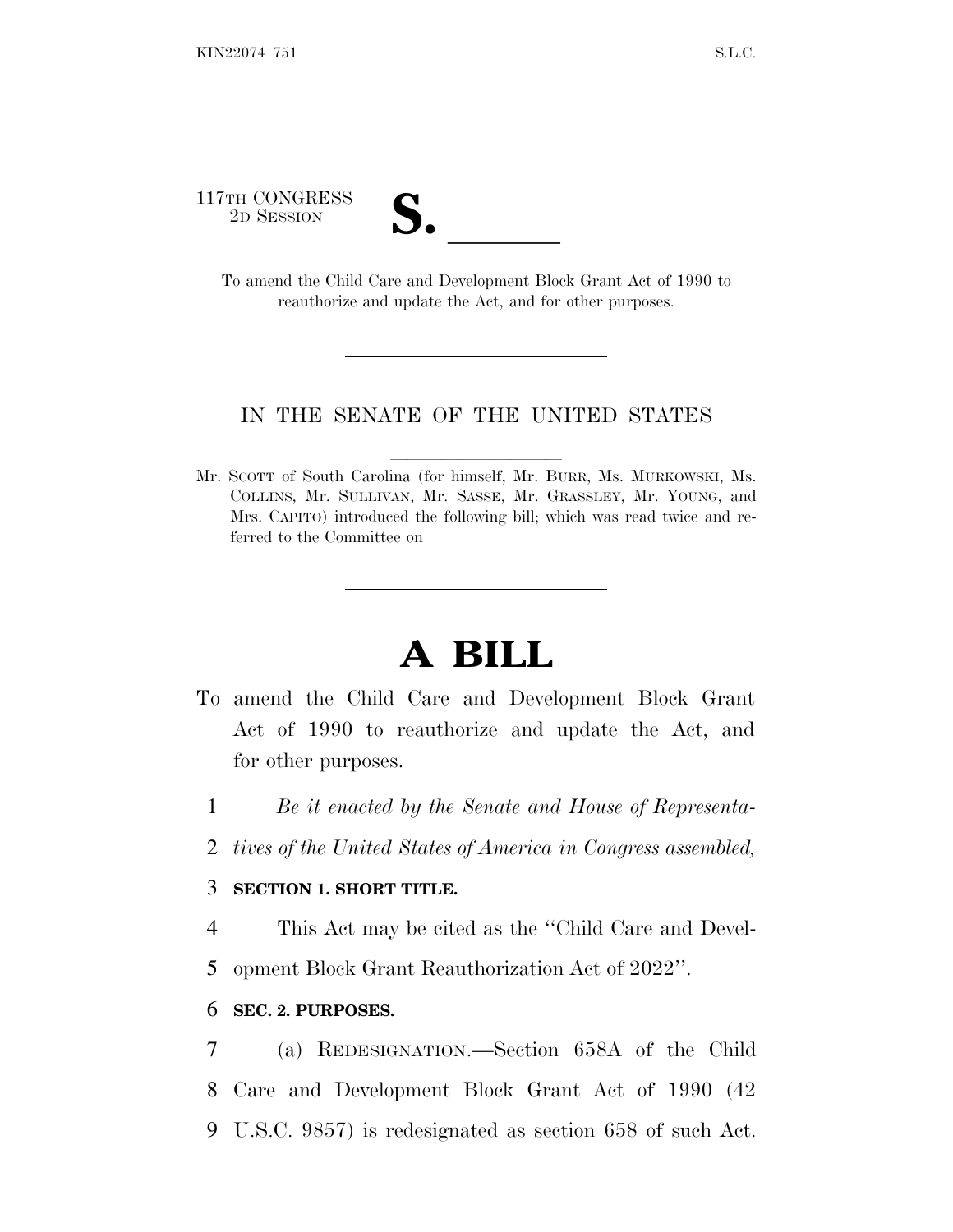117TH CONGRESS

TH CONGRESS<br>
2D SESSION<br>
To amend the Child Care and Development Block Grant Act of 1990 to reauthorize and update the Act, and for other purposes.

## IN THE SENATE OF THE UNITED STATES

Mr. SCOTT of South Carolina (for himself, Mr. BURR, Ms. MURKOWSKI, Ms. COLLINS, Mr. SULLIVAN, Mr. SASSE, Mr. GRASSLEY, Mr. YOUNG, and Mrs. CAPITO) introduced the following bill; which was read twice and referred to the Committee on

# **A BILL**

- To amend the Child Care and Development Block Grant Act of 1990 to reauthorize and update the Act, and for other purposes.
	- 1 *Be it enacted by the Senate and House of Representa-*
	- 2 *tives of the United States of America in Congress assembled,*

#### 3 **SECTION 1. SHORT TITLE.**

4 This Act may be cited as the ''Child Care and Devel-5 opment Block Grant Reauthorization Act of 2022''.

## 6 **SEC. 2. PURPOSES.**

7 (a) REDESIGNATION.—Section 658A of the Child 8 Care and Development Block Grant Act of 1990 (42 9 U.S.C. 9857) is redesignated as section 658 of such Act.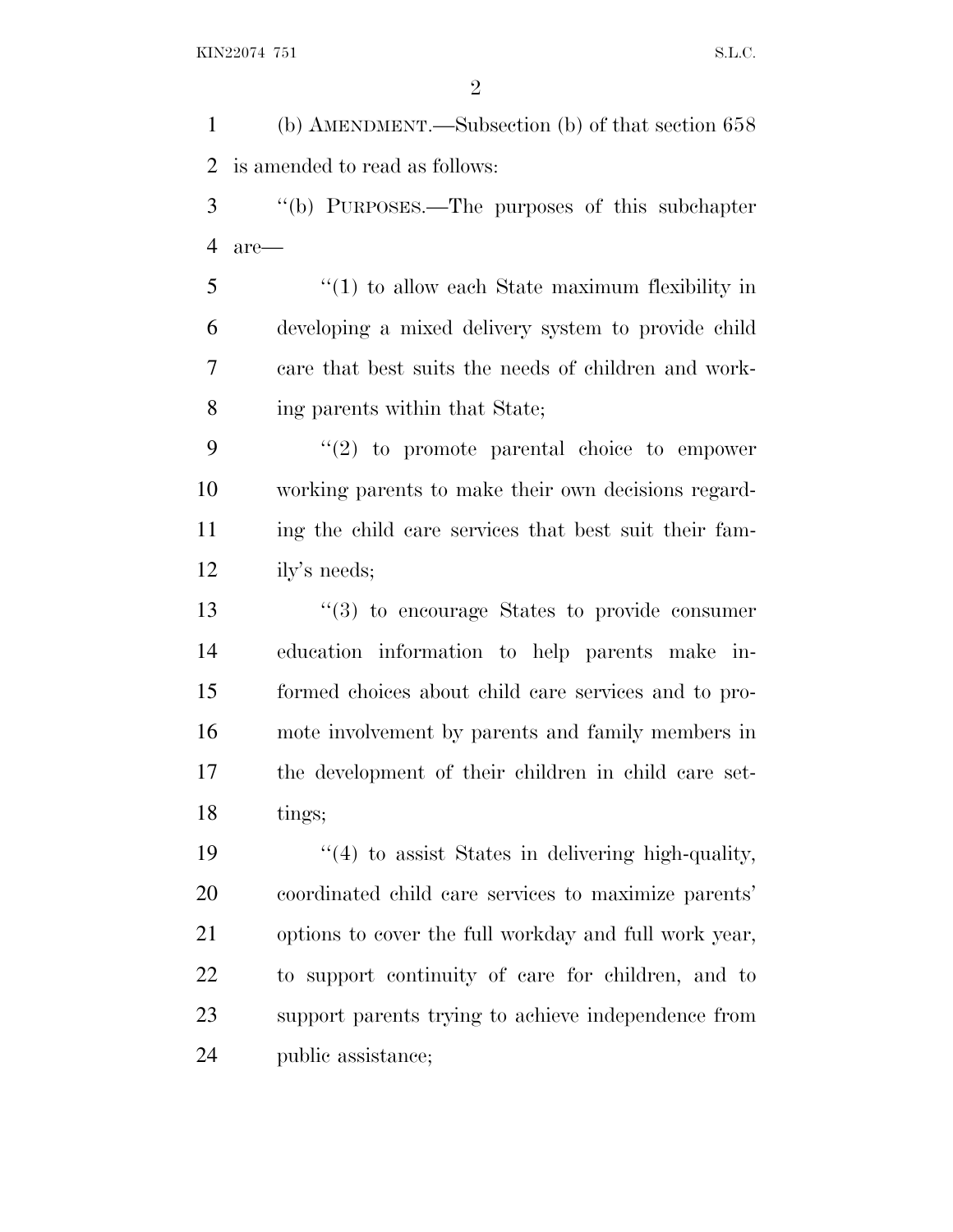(b) AMENDMENT.—Subsection (b) of that section 658 is amended to read as follows: ''(b) PURPOSES.—The purposes of this subchapter are— ''(1) to allow each State maximum flexibility in developing a mixed delivery system to provide child care that best suits the needs of children and work- ing parents within that State; ''(2) to promote parental choice to empower working parents to make their own decisions regard- ing the child care services that best suit their fam- ily's needs; ''(3) to encourage States to provide consumer education information to help parents make in- formed choices about child care services and to pro- mote involvement by parents and family members in the development of their children in child care set- tings;  $\frac{1}{4}$  to assist States in delivering high-quality, coordinated child care services to maximize parents' options to cover the full workday and full work year, to support continuity of care for children, and to support parents trying to achieve independence from public assistance;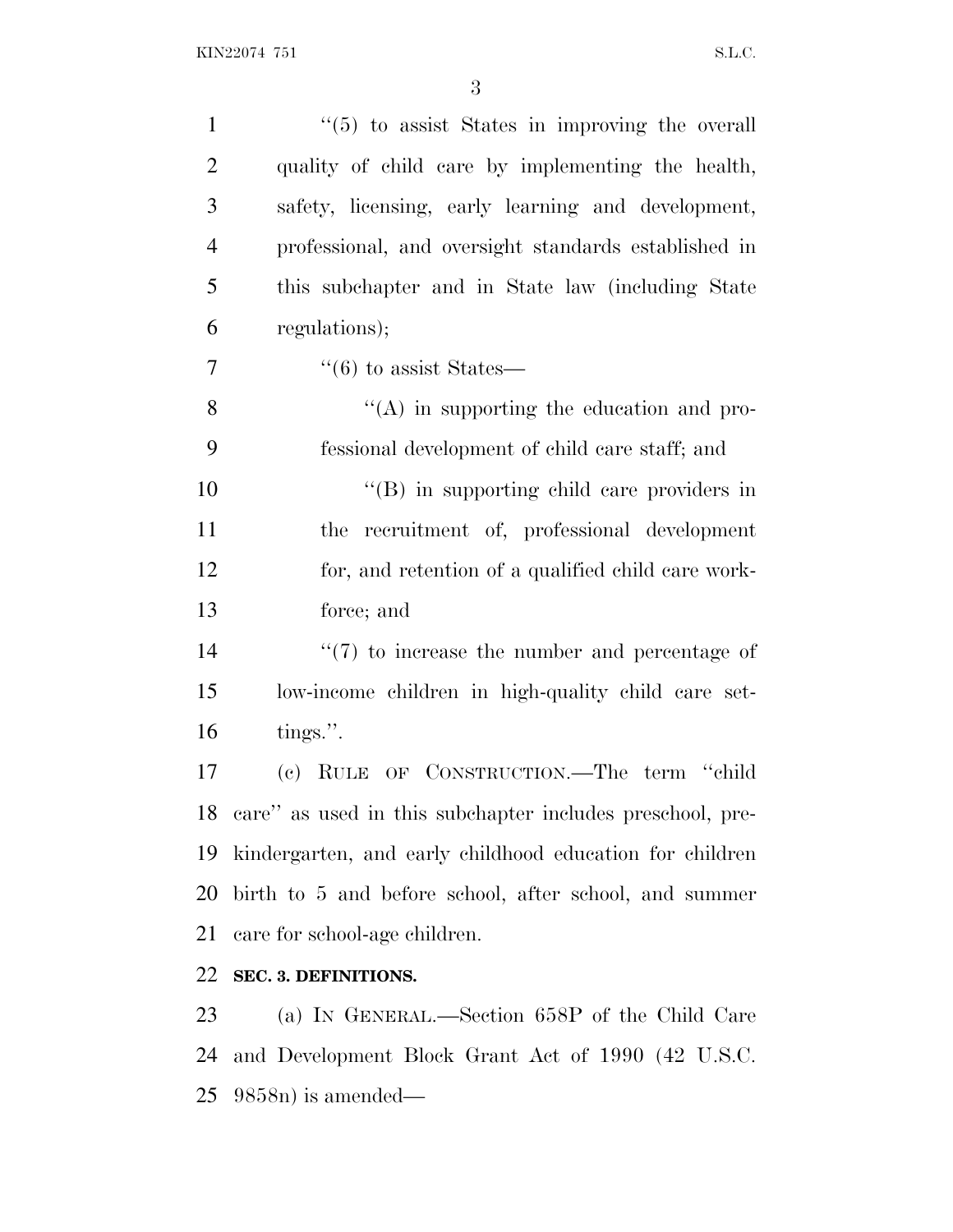| $\lq(5)$ to assist States in improving the overall           |
|--------------------------------------------------------------|
| quality of child care by implementing the health,            |
| safety, licensing, early learning and development,           |
| professional, and oversight standards established in         |
| this subchapter and in State law (including State            |
| regulations);                                                |
| $\cdot\cdot(6)$ to assist States—                            |
| $\lq\lq$ in supporting the education and pro-                |
| fessional development of child care staff; and               |
| "(B) in supporting child care providers in                   |
| the recruitment of, professional development                 |
| for, and retention of a qualified child care work-           |
| force; and                                                   |
| $\lq(7)$ to increase the number and percentage of            |
| low-income children in high-quality child care set-          |
| tings.".                                                     |
| (c) RULE OF CONSTRUCTION.—The term "child                    |
| 18 care" as used in this subchapter includes preschool, pre- |
| kindergarten, and early childhood education for children     |
| birth to 5 and before school, after school, and summer       |
| care for school-age children.                                |
| SEC. 3. DEFINITIONS.                                         |
| (a) IN GENERAL.—Section 658P of the Child Care               |
| and Development Block Grant Act of 1990 (42 U.S.C.           |
|                                                              |

9858n) is amended—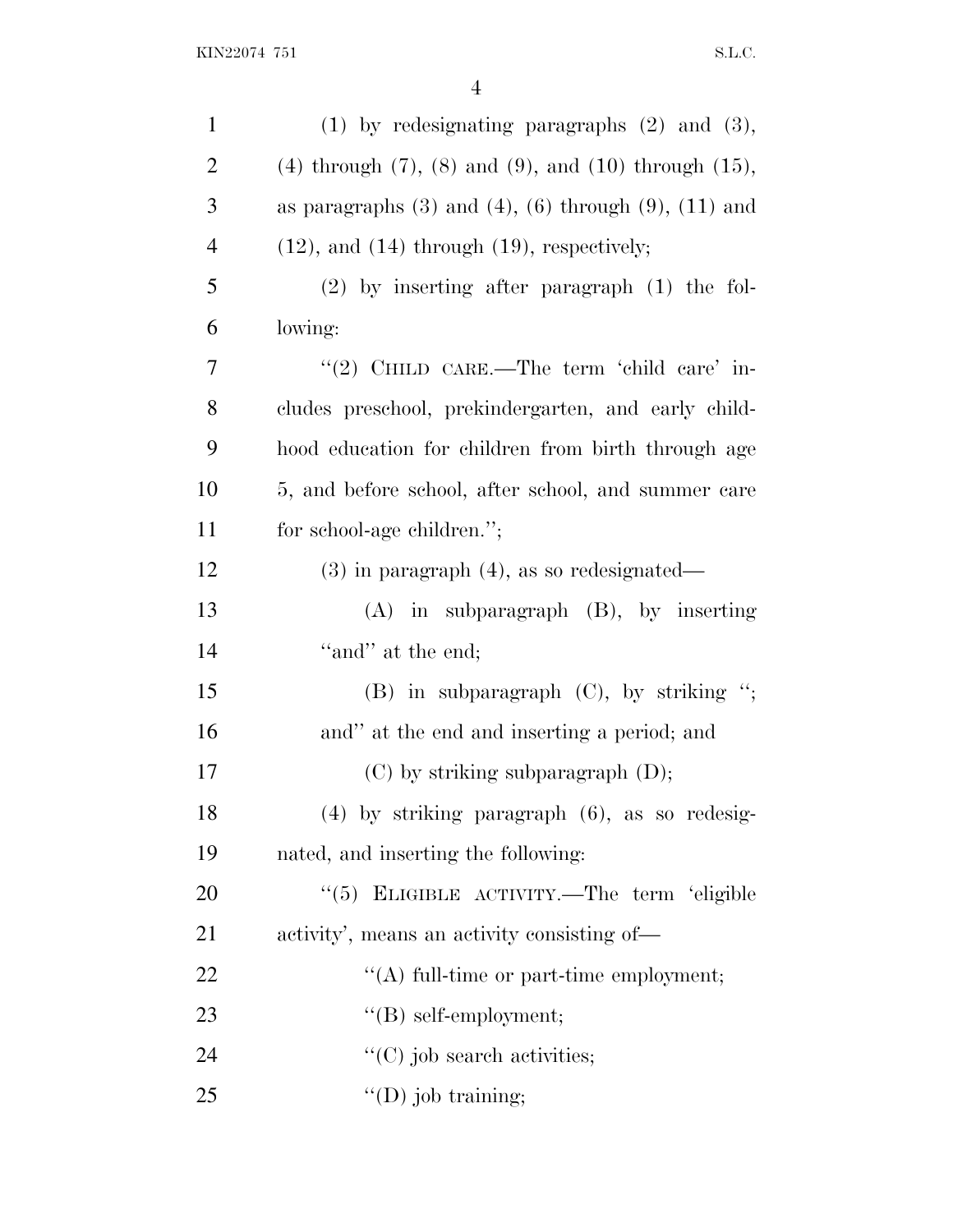| $\mathbf{1}$   | $(1)$ by redesignating paragraphs $(2)$ and $(3)$ ,                 |
|----------------|---------------------------------------------------------------------|
| $\overline{2}$ | $(4)$ through $(7)$ , $(8)$ and $(9)$ , and $(10)$ through $(15)$ , |
| 3              | as paragraphs $(3)$ and $(4)$ , $(6)$ through $(9)$ , $(11)$ and    |
| $\overline{4}$ | $(12)$ , and $(14)$ through $(19)$ , respectively;                  |
| 5              | $(2)$ by inserting after paragraph $(1)$ the fol-                   |
| 6              | lowing:                                                             |
| 7              | "(2) CHILD CARE.—The term 'child care' in-                          |
| 8              | cludes preschool, prekindergarten, and early child-                 |
| 9              | hood education for children from birth through age                  |
| 10             | 5, and before school, after school, and summer care                 |
| 11             | for school-age children.";                                          |
| 12             | $(3)$ in paragraph $(4)$ , as so redesignated—                      |
| 13             | $(A)$ in subparagraph $(B)$ , by inserting                          |
| 14             | "and" at the end;                                                   |
| 15             | $(B)$ in subparagraph $(C)$ , by striking ";                        |
| 16             | and" at the end and inserting a period; and                         |
| 17             | $(C)$ by striking subparagraph $(D)$ ;                              |
| 18             | $(4)$ by striking paragraph $(6)$ , as so redesig-                  |
| 19             | nated, and inserting the following:                                 |
| 20             | "(5) ELIGIBLE ACTIVITY.—The term 'eligible                          |
| 21             | activity', means an activity consisting of—                         |
| 22             | $\lq\lq$ full-time or part-time employment;                         |
| 23             | $\lq\lq$ self-employment;                                           |
| 24             | $"$ (C) job search activities;                                      |
| 25             | $\lq\lq$ (D) job training;                                          |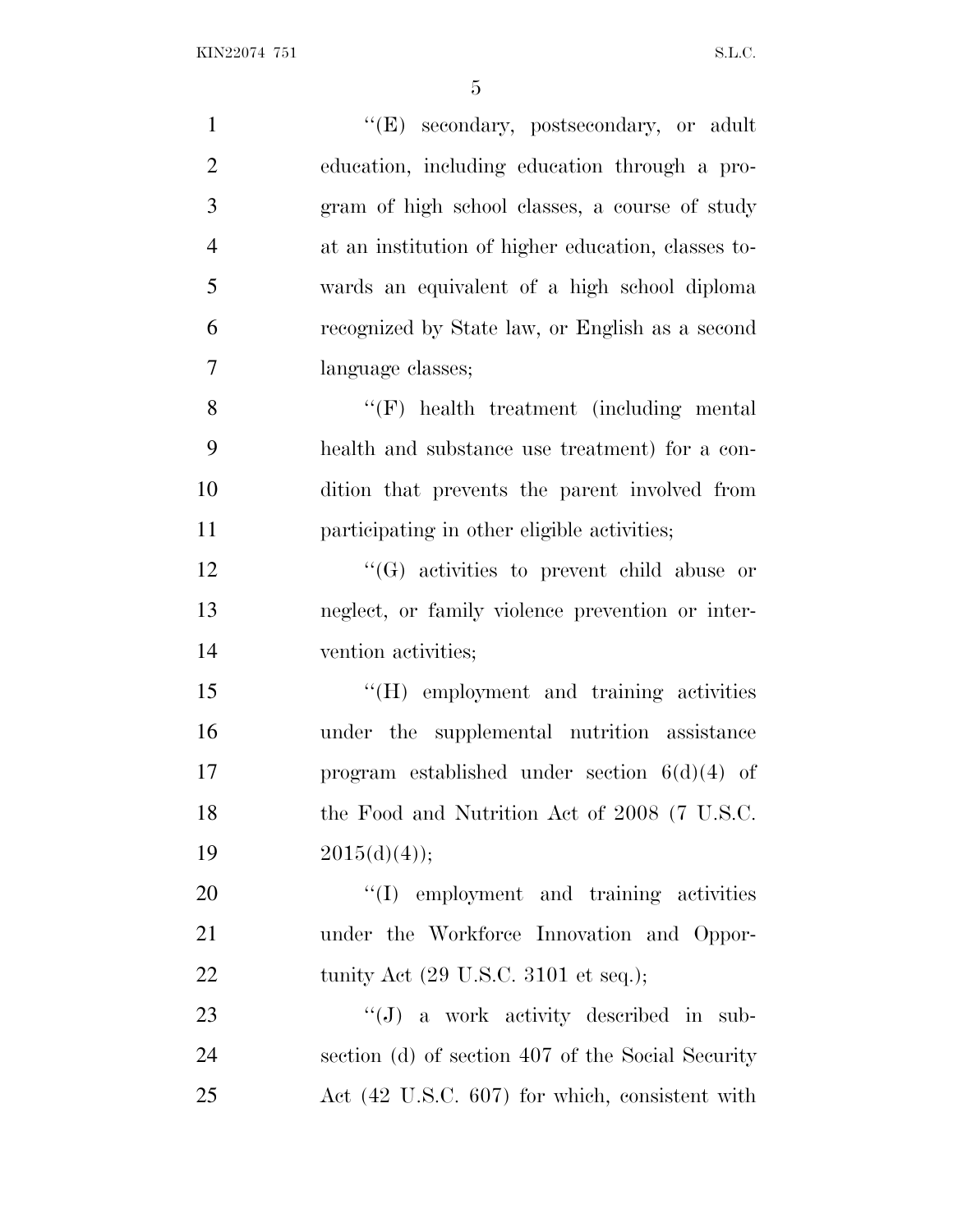| $\mathbf{1}$   | "(E) secondary, postsecondary, or adult                 |
|----------------|---------------------------------------------------------|
| $\overline{2}$ | education, including education through a pro-           |
| 3              | gram of high school classes, a course of study          |
| $\overline{4}$ | at an institution of higher education, classes to-      |
| 5              | wards an equivalent of a high school diploma            |
| 6              | recognized by State law, or English as a second         |
| $\tau$         | language classes;                                       |
| 8              | $\lq\lq(F)$ health treatment (including mental          |
| 9              | health and substance use treatment) for a con-          |
| 10             | dition that prevents the parent involved from           |
| 11             | participating in other eligible activities;             |
| 12             | $\lq\lq(G)$ activities to prevent child abuse or        |
| 13             | neglect, or family violence prevention or inter-        |
| 14             | vention activities;                                     |
| 15             | "(H) employment and training activities                 |
| 16             | under the supplemental nutrition assistance             |
| 17             | program established under section $6(d)(4)$ of          |
| 18             | the Food and Nutrition Act of 2008 (7 U.S.C.            |
| 19             | $2015(d)(4)$ ;                                          |
| 20             | "(I) employment and training activities                 |
| 21             | under the Workforce Innovation and Oppor-               |
| 22             | tunity Act $(29 \text{ U.S.C. } 3101 \text{ et seq.});$ |
| 23             | "(J) a work activity described in sub-                  |
| 24             | section (d) of section 407 of the Social Security       |
| 25             | Act (42 U.S.C. 607) for which, consistent with          |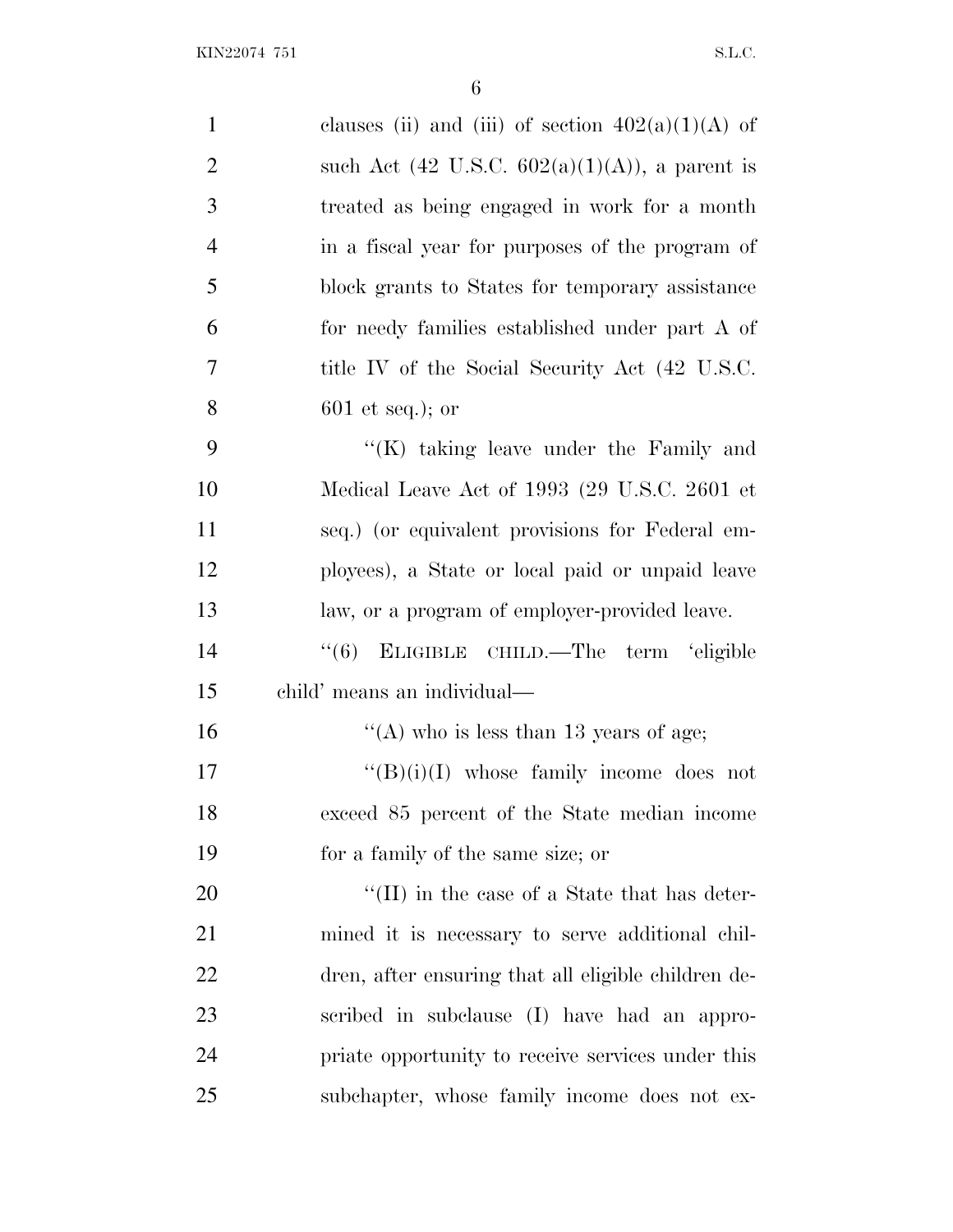| $\mathbf{1}$   | clauses (ii) and (iii) of section $402(a)(1)(A)$ of        |
|----------------|------------------------------------------------------------|
| $\overline{2}$ | such Act $(42 \text{ U.S.C. } 602(a)(1)(A))$ , a parent is |
| 3              | treated as being engaged in work for a month               |
| $\overline{4}$ | in a fiscal year for purposes of the program of            |
| 5              | block grants to States for temporary assistance            |
| 6              | for needy families established under part A of             |
| 7              | title IV of the Social Security Act (42 U.S.C.             |
| 8              | $601$ et seq.); or                                         |
| 9              | " $(K)$ taking leave under the Family and                  |
| 10             | Medical Leave Act of 1993 (29 U.S.C. 2601 et               |
| 11             | seq.) (or equivalent provisions for Federal em-            |
| 12             | ployees), a State or local paid or unpaid leave            |
| 13             | law, or a program of employer-provided leave.              |
| 14             | ELIGIBLE CHILD.—The term 'eligible<br>``(6)                |
| 15             | child' means an individual—                                |
| 16             | "(A) who is less than 13 years of age;                     |
| 17             | $\lq\lq(B)(i)(I)$ whose family income does not             |
| 18             | exceed 85 percent of the State median income               |
| 19             | for a family of the same size; or                          |
| 20             | $\lq\lq$ (II) in the case of a State that has deter-       |
| 21             | mined it is necessary to serve additional chil-            |
| 22             | dren, after ensuring that all eligible children de-        |
| 23             | scribed in subclause (I) have had an appro-                |
| 24             | priate opportunity to receive services under this          |
| 25             | subchapter, whose family income does not ex-               |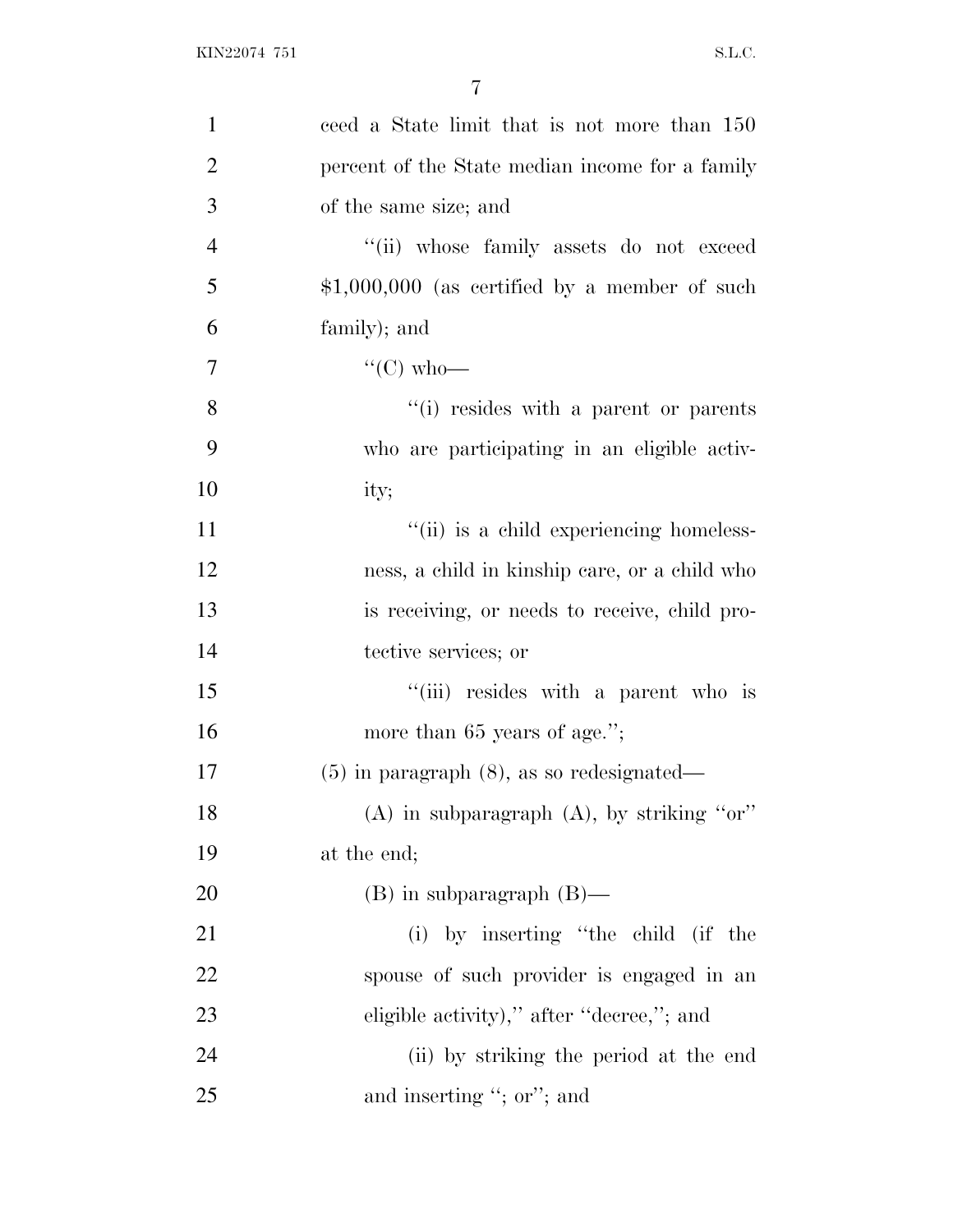| $\mathbf{1}$   | ceed a State limit that is not more than 150    |
|----------------|-------------------------------------------------|
| $\overline{2}$ | percent of the State median income for a family |
| 3              | of the same size; and                           |
| $\overline{4}$ | "(ii) whose family assets do not exceed         |
| 5              | $$1,000,000$ (as certified by a member of such  |
| 6              | family); and                                    |
| 7              | " $(C)$ who—                                    |
| 8              | "(i) resides with a parent or parents           |
| 9              | who are participating in an eligible activ-     |
| 10             | ity;                                            |
| 11             | "(ii) is a child experiencing homeless-         |
| 12             | ness, a child in kinship care, or a child who   |
| 13             | is receiving, or needs to receive, child pro-   |
| 14             | tective services; or                            |
| 15             | "(iii) resides with a parent who is             |
| 16             | more than 65 years of age.";                    |
| 17             | $(5)$ in paragraph $(8)$ , as so redesignated—  |
| 18             | $(A)$ in subparagraph $(A)$ , by striking "or"  |
| 19             | at the end;                                     |
| 20             | $(B)$ in subparagraph $(B)$ —                   |
| 21             | (i) by inserting "the child (if the             |
| 22             | spouse of such provider is engaged in an        |
| 23             | eligible activity)," after "decree,"; and       |
| 24             | (ii) by striking the period at the end          |
| 25             | and inserting "; or"; and                       |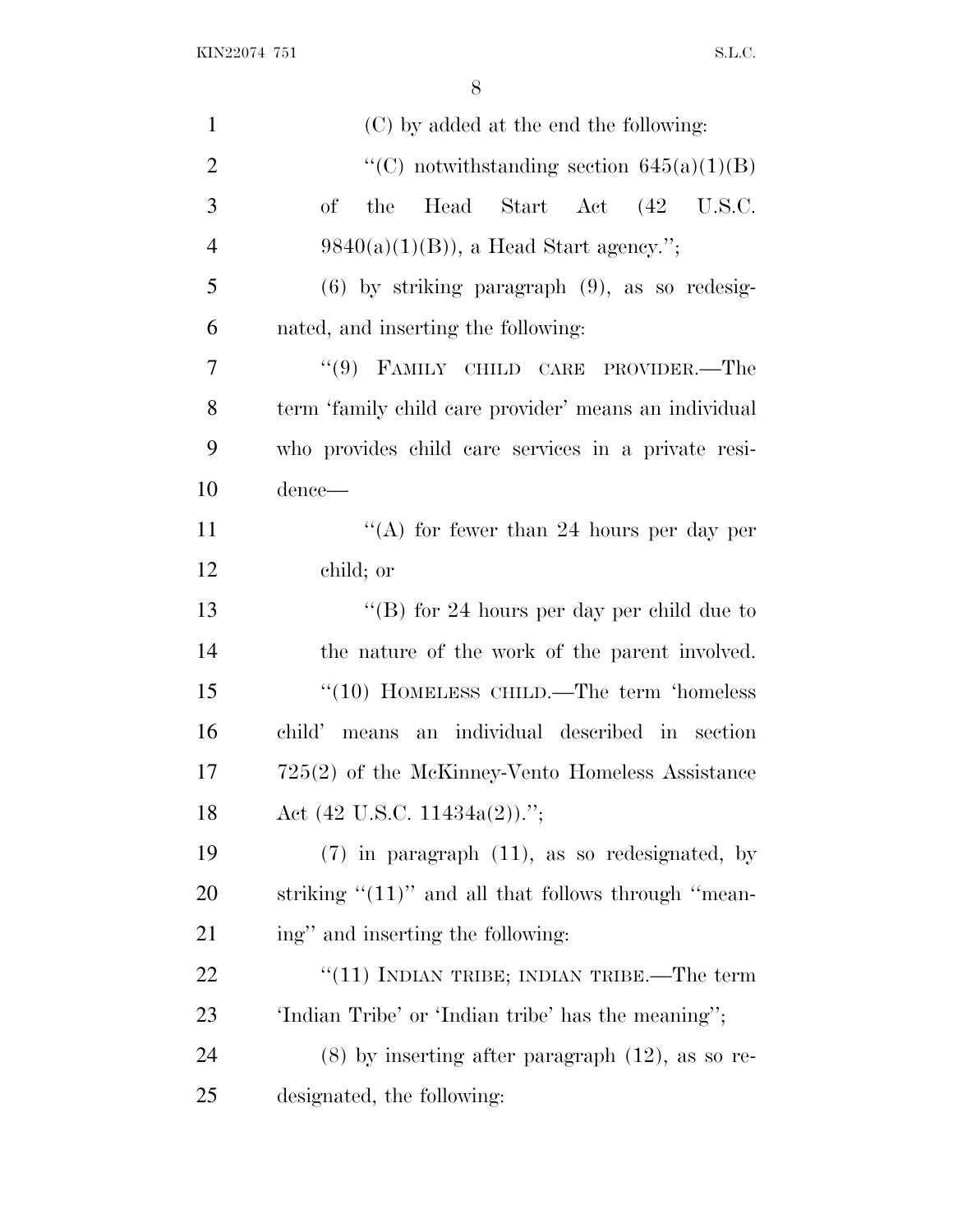| $\mathbf{1}$   | (C) by added at the end the following:                   |
|----------------|----------------------------------------------------------|
| $\overline{2}$ | "(C) notwithstanding section $645(a)(1)(B)$              |
| 3              | Head Start Act (42 U.S.C.<br>of<br>the                   |
| $\overline{4}$ | $9840(a)(1)(B)$ , a Head Start agency.";                 |
| 5              | $(6)$ by striking paragraph $(9)$ , as so redesig-       |
| 6              | nated, and inserting the following:                      |
| 7              | "(9) FAMILY CHILD CARE PROVIDER.—The                     |
| 8              | term 'family child care provider' means an individual    |
| 9              | who provides child care services in a private resi-      |
| 10             | dence—                                                   |
| 11             | "(A) for fewer than 24 hours per day per                 |
| 12             | child; or                                                |
| 13             | "(B) for 24 hours per day per child due to               |
| 14             | the nature of the work of the parent involved.           |
| 15             | $\cdot\cdot(10)$ HOMELESS CHILD.—The term 'homeless      |
| 16             | means an individual described in section<br>child'       |
| 17             | 725(2) of the McKinney-Vento Homeless Assistance         |
| 18             | Act $(42 \text{ U.S.C. } 11434a(2))$ .";                 |
| 19             | $(7)$ in paragraph $(11)$ , as so redesignated, by       |
| 20             | striking $\lq(11)$ " and all that follows through "mean- |
| 21             | ing" and inserting the following:                        |
| 22             | " $(11)$ INDIAN TRIBE; INDIAN TRIBE.—The term            |
| 23             | 'Indian Tribe' or 'Indian tribe' has the meaning";       |
| 24             | $(8)$ by inserting after paragraph $(12)$ , as so re-    |
| 25             | designated, the following:                               |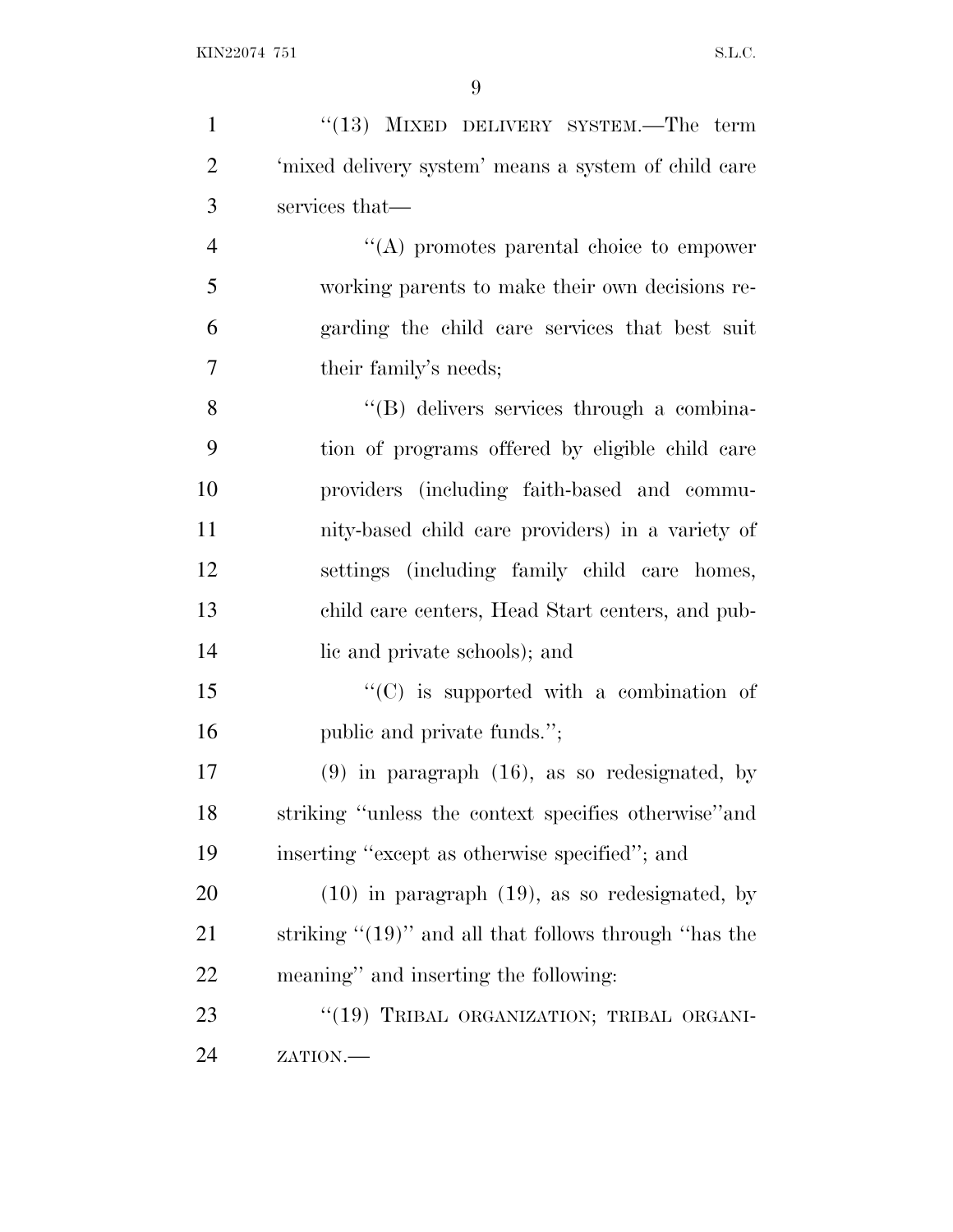| $\mathbf{1}$   | $(13)$ MIXED DELIVERY SYSTEM.—The term                    |
|----------------|-----------------------------------------------------------|
| $\overline{2}$ | 'mixed delivery system' means a system of child care      |
| 3              | services that—                                            |
| $\overline{4}$ | $\lq\lq$ promotes parental choice to empower              |
| 5              | working parents to make their own decisions re-           |
| 6              | garding the child care services that best suit            |
| 7              | their family's needs;                                     |
| 8              | "(B) delivers services through a combina-                 |
| 9              | tion of programs offered by eligible child care           |
| 10             | providers (including faith-based and commu-               |
| 11             | nity-based child care providers) in a variety of          |
| 12             | settings (including family child care homes,              |
| 13             | child care centers, Head Start centers, and pub-          |
| 14             | lic and private schools); and                             |
| 15             | $\lq\lq$ (C) is supported with a combination of           |
| 16             | public and private funds.";                               |
| 17             | $(9)$ in paragraph $(16)$ , as so redesignated, by        |
| 18             | striking "unless the context specifies otherwise" and     |
| 19             | inserting "except as otherwise specified"; and            |
| 20             | $(10)$ in paragraph $(19)$ , as so redesignated, by       |
| 21             | striking " $(19)$ " and all that follows through "has the |
| 22             | meaning" and inserting the following:                     |
| 23             | "(19) TRIBAL ORGANIZATION; TRIBAL ORGANI-                 |
| 24             | ZATION.-                                                  |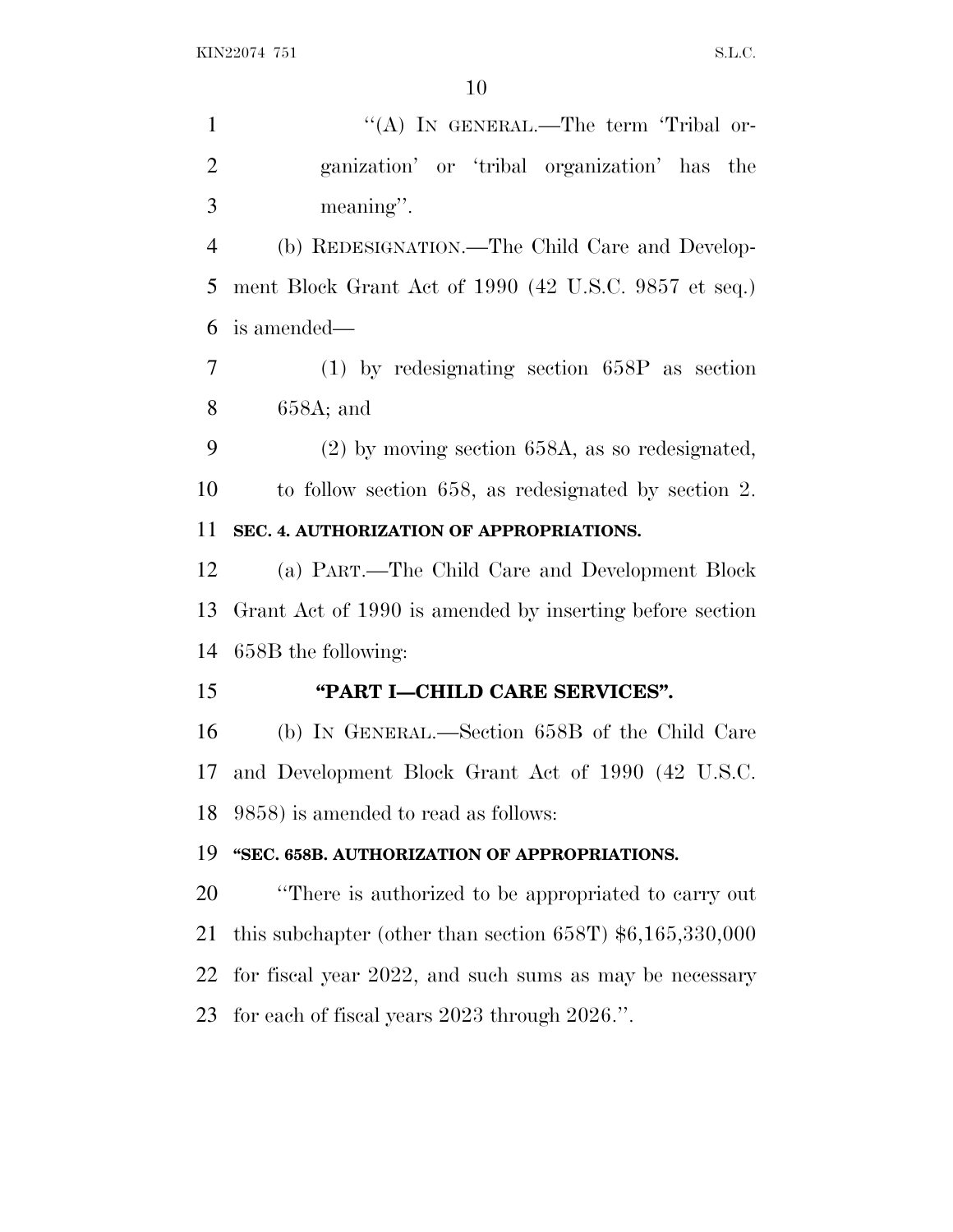| $\mathbf{1}$   | "(A) IN GENERAL.—The term 'Tribal or-                      |
|----------------|------------------------------------------------------------|
| $\overline{2}$ | ganization' or 'tribal organization' has the               |
| 3              | meaning".                                                  |
| $\overline{4}$ | (b) REDESIGNATION.—The Child Care and Develop-             |
| 5              | ment Block Grant Act of 1990 (42 U.S.C. 9857 et seq.)      |
| 6              | is amended—                                                |
| $\overline{7}$ | $(1)$ by redesignating section 658P as section             |
| 8              | $658A$ ; and                                               |
| 9              | $(2)$ by moving section 658A, as so redesignated,          |
| 10             | to follow section 658, as redesignated by section 2.       |
| 11             | SEC. 4. AUTHORIZATION OF APPROPRIATIONS.                   |
| 12             | (a) PART.—The Child Care and Development Block             |
| 13             | Grant Act of 1990 is amended by inserting before section   |
| 14             | 658B the following:                                        |
| 15             | "PART I-CHILD CARE SERVICES".                              |
| 16             | (b) IN GENERAL.—Section 658B of the Child Care             |
| 17             | and Development Block Grant Act of 1990 (42 U.S.C.         |
| 18             | 9858) is amended to read as follows:                       |
| 19             | "SEC. 658B. AUTHORIZATION OF APPROPRIATIONS.               |
| 20             | "There is authorized to be appropriated to carry out"      |
| 21             | this subchapter (other than section 658T) $$6,165,330,000$ |
| 22             | for fiscal year 2022, and such sums as may be necessary    |
| 23             | for each of fiscal years $2023$ through $2026$ .".         |
|                |                                                            |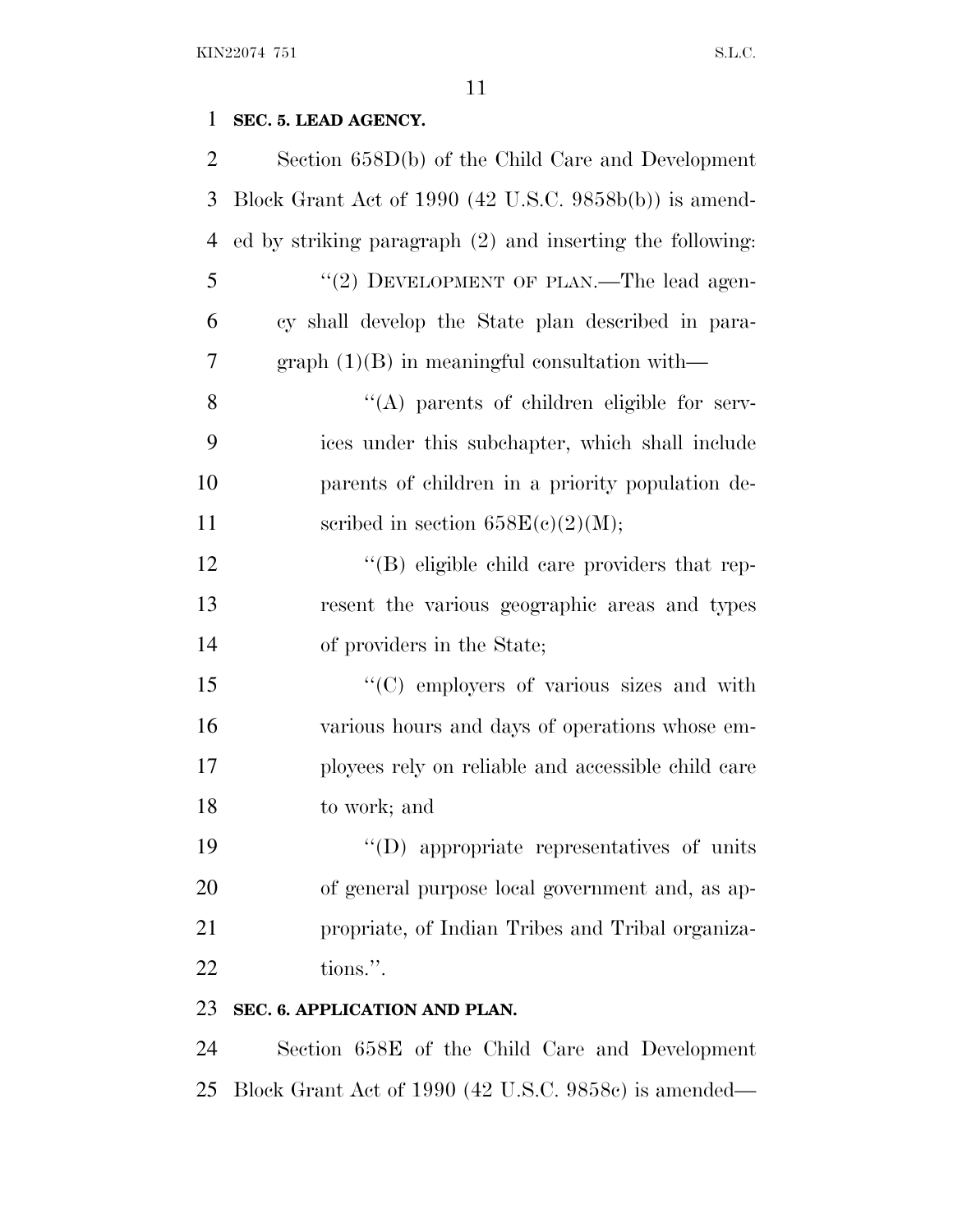## **SEC. 5. LEAD AGENCY.**

| Section $658D(b)$ of the Child Care and Development       |
|-----------------------------------------------------------|
| Block Grant Act of 1990 (42 U.S.C. 9858b(b)) is amend-    |
| ed by striking paragraph (2) and inserting the following: |
| "(2) DEVELOPMENT OF PLAN.—The lead agen-                  |
| cy shall develop the State plan described in para-        |
| graph $(1)(B)$ in meaningful consultation with—           |
| "(A) parents of children eligible for serv-               |
| ices under this subchapter, which shall include           |
| parents of children in a priority population de-          |
| scribed in section $658E(c)(2)(M);$                       |
| "(B) eligible child care providers that rep-              |
| resent the various geographic areas and types             |
| of providers in the State;                                |
| "(C) employers of various sizes and with                  |
| various hours and days of operations whose em-            |
| ployees rely on reliable and accessible child care        |
| to work; and                                              |
| $\lq\lq$ (D) appropriate representatives of units         |
| of general purpose local government and, as ap-           |
| propriate, of Indian Tribes and Tribal organiza-          |
| tions.".                                                  |
| SEC. 6. APPLICATION AND PLAN.                             |
|                                                           |

 Section 658E of the Child Care and Development Block Grant Act of 1990 (42 U.S.C. 9858c) is amended—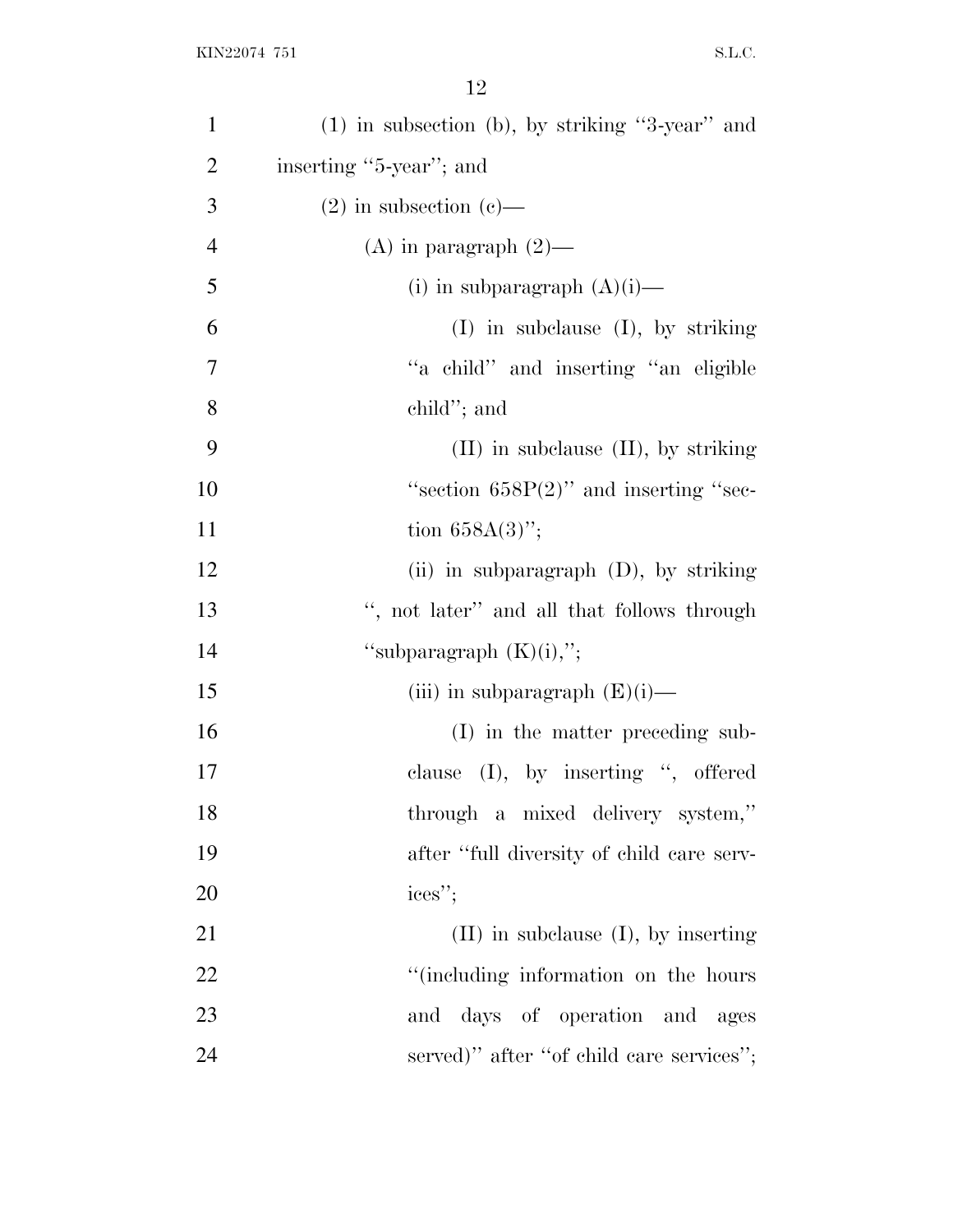| $\mathbf{1}$   | $(1)$ in subsection (b), by striking "3-year" and |
|----------------|---------------------------------------------------|
| $\overline{2}$ | inserting "5-year"; and                           |
| 3              | $(2)$ in subsection $(e)$ —                       |
| $\overline{4}$ | (A) in paragraph $(2)$ —                          |
| 5              | (i) in subparagraph $(A)(i)$ —                    |
| 6              | $(I)$ in subclause $(I)$ , by striking            |
| 7              | "a child" and inserting "an eligible              |
| 8              | child"; and                                       |
| 9              | $(II)$ in subclause $(II)$ , by striking          |
| 10             | "section $658P(2)$ " and inserting "sec-          |
| 11             | tion $658A(3)$ ";                                 |
| 12             | (ii) in subparagraph $(D)$ , by striking          |
| 13             | ", not later" and all that follows through        |
| 14             | "subparagraph $(K)(i)$ ,";                        |
| 15             | (iii) in subparagraph $(E)(i)$ —                  |
| 16             | (I) in the matter preceding sub-                  |
| 17             | clause $(I)$ , by inserting ", offered            |
| 18             | through a mixed delivery system,"                 |
| 19             | after "full diversity of child care serv-         |
| 20             | ices";                                            |
| 21             | $(II)$ in subclause $(I)$ , by inserting          |
| 22             | "(including information on the hours              |
| 23             | and days of operation and ages                    |
| 24             | served)" after "of child care services";          |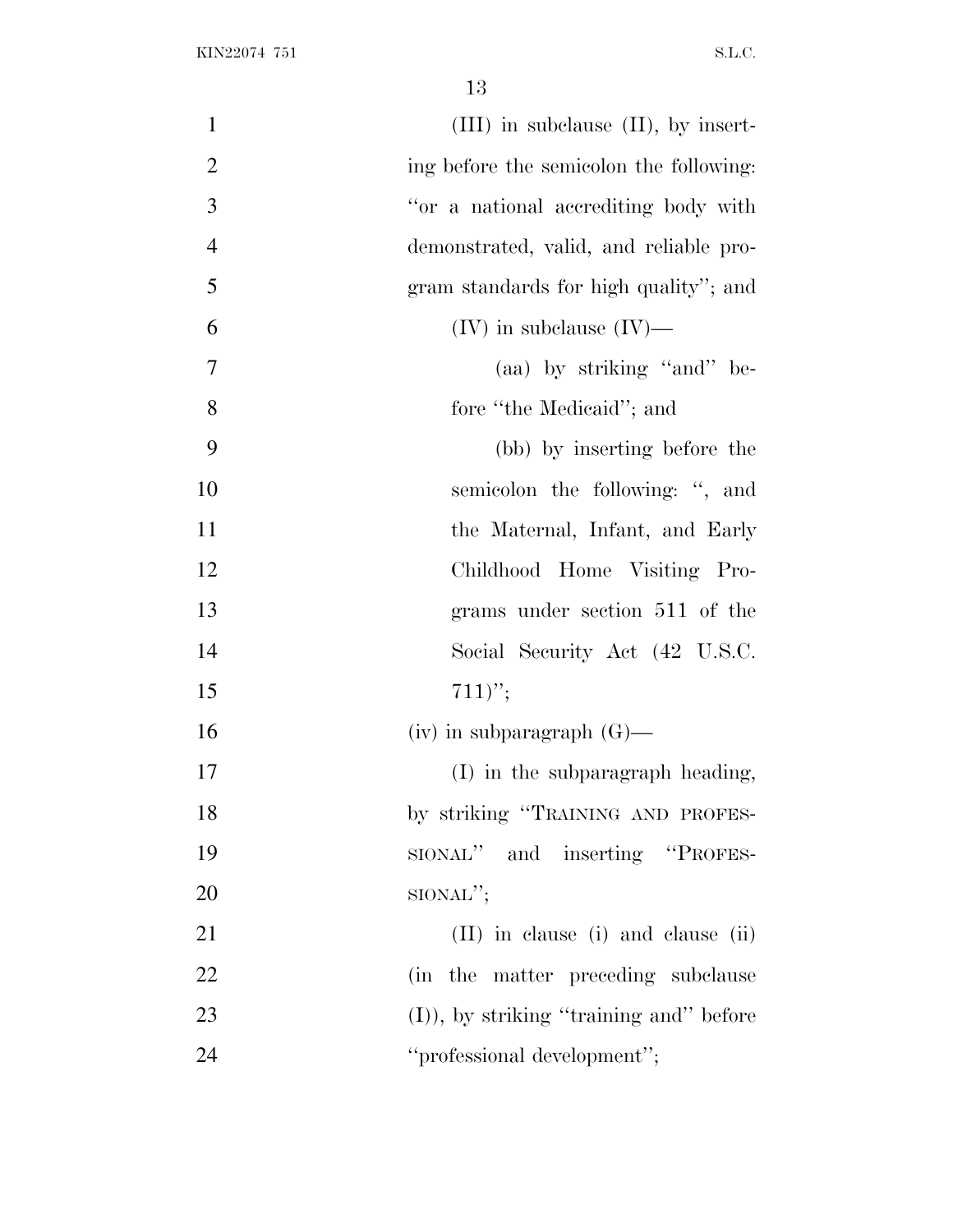| $\mathbf{1}$   | $(III)$ in subclause $(II)$ , by insert-  |
|----------------|-------------------------------------------|
| $\overline{2}$ | ing before the semicolon the following:   |
| 3              | "or a national accrediting body with      |
| $\overline{4}$ | demonstrated, valid, and reliable pro-    |
| 5              | gram standards for high quality"; and     |
| 6              | $(IV)$ in subclause $(IV)$ —              |
| 7              | (aa) by striking "and" be-                |
| 8              | fore "the Medicaid"; and                  |
| 9              | (bb) by inserting before the              |
| 10             | semicolon the following: ", and           |
| 11             | the Maternal, Infant, and Early           |
| 12             | Childhood Home Visiting Pro-              |
| 13             | grams under section 511 of the            |
| 14             | Social Security Act (42 U.S.C.            |
| 15             | $711)$ ";                                 |
| 16             | $(iv)$ in subparagraph $(G)$ —            |
| 17             | (I) in the subparagraph heading,          |
| 18             | by striking "TRAINING AND PROFES-         |
| 19             | SIONAL" and inserting "PROFES-            |
| 20             | $SIONAL$ ";                               |
| 21             | $(II)$ in clause (i) and clause (ii)      |
| 22             | (in the matter preceding subclause)       |
| 23             | $(I)$ , by striking "training and" before |
| 24             | "professional development";               |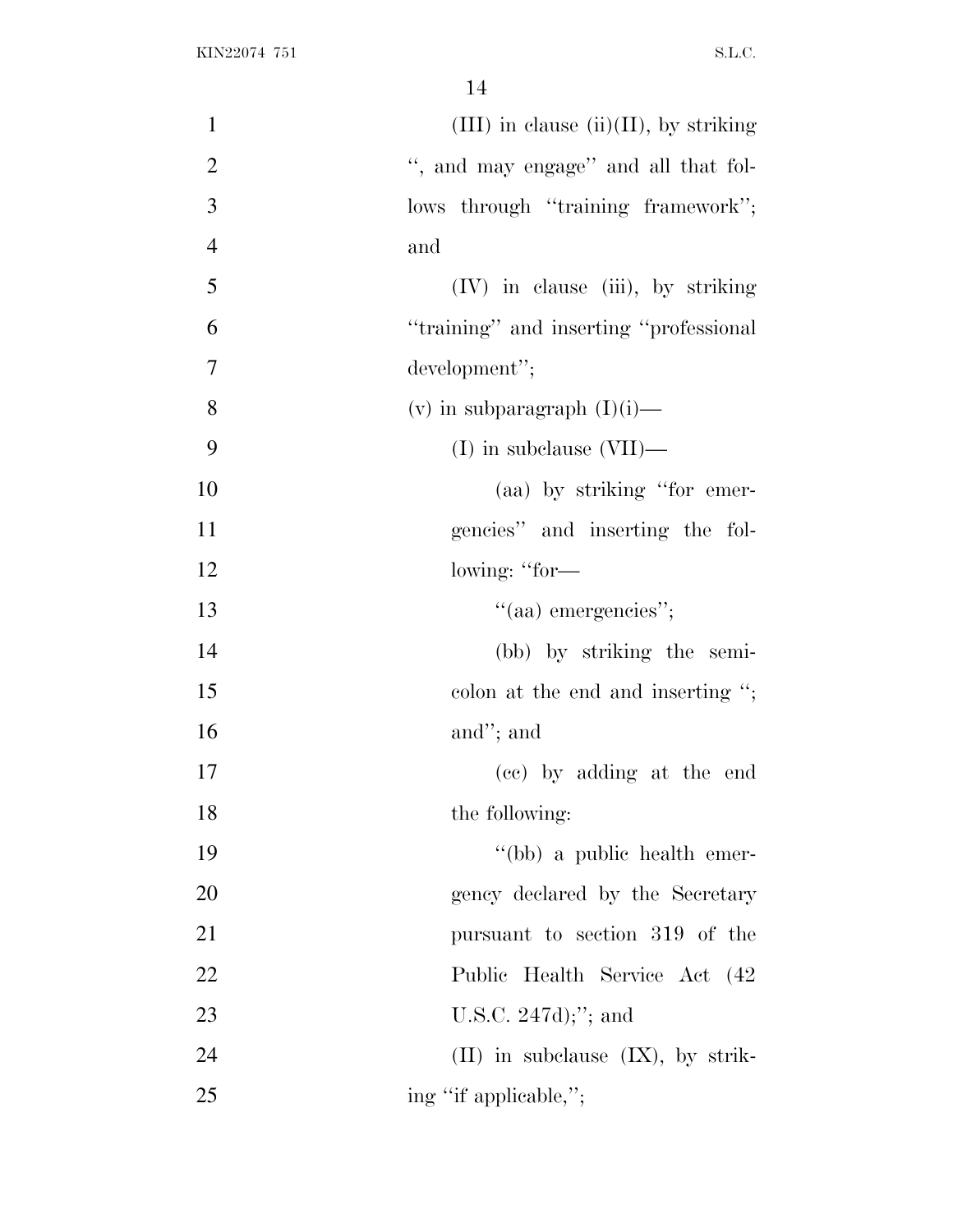| $\mathbf{1}$   | $(III)$ in clause $(ii)(II)$ , by striking |
|----------------|--------------------------------------------|
| $\overline{2}$ | ", and may engage" and all that fol-       |
| 3              | lows through "training framework";         |
| $\overline{4}$ | and                                        |
| 5              | (IV) in clause (iii), by striking          |
| 6              | "training" and inserting "professional"    |
| $\overline{7}$ | development";                              |
| 8              | (v) in subparagraph $(I)(i)$ —             |
| 9              | $(I)$ in subclause $(VII)$ —               |
| 10             | (aa) by striking "for emer-                |
| 11             | gencies" and inserting the fol-            |
| 12             | lowing: "for-                              |
| 13             | "(aa) emergencies";                        |
| 14             | (bb) by striking the semi-                 |
| 15             | colon at the end and inserting ";          |
| 16             | and"; and                                  |
| 17             | (cc) by adding at the end                  |
| 18             | the following:                             |
| 19             | "(bb) a public health emer-                |
| 20             | gency declared by the Secretary            |
| 21             | pursuant to section 319 of the             |
| 22             | Public Health Service Act (42)             |
| 23             | U.S.C. $247d$ ; and                        |
| 24             | $(II)$ in subclause $(IX)$ , by strik-     |
| 25             | ing "if applicable,";                      |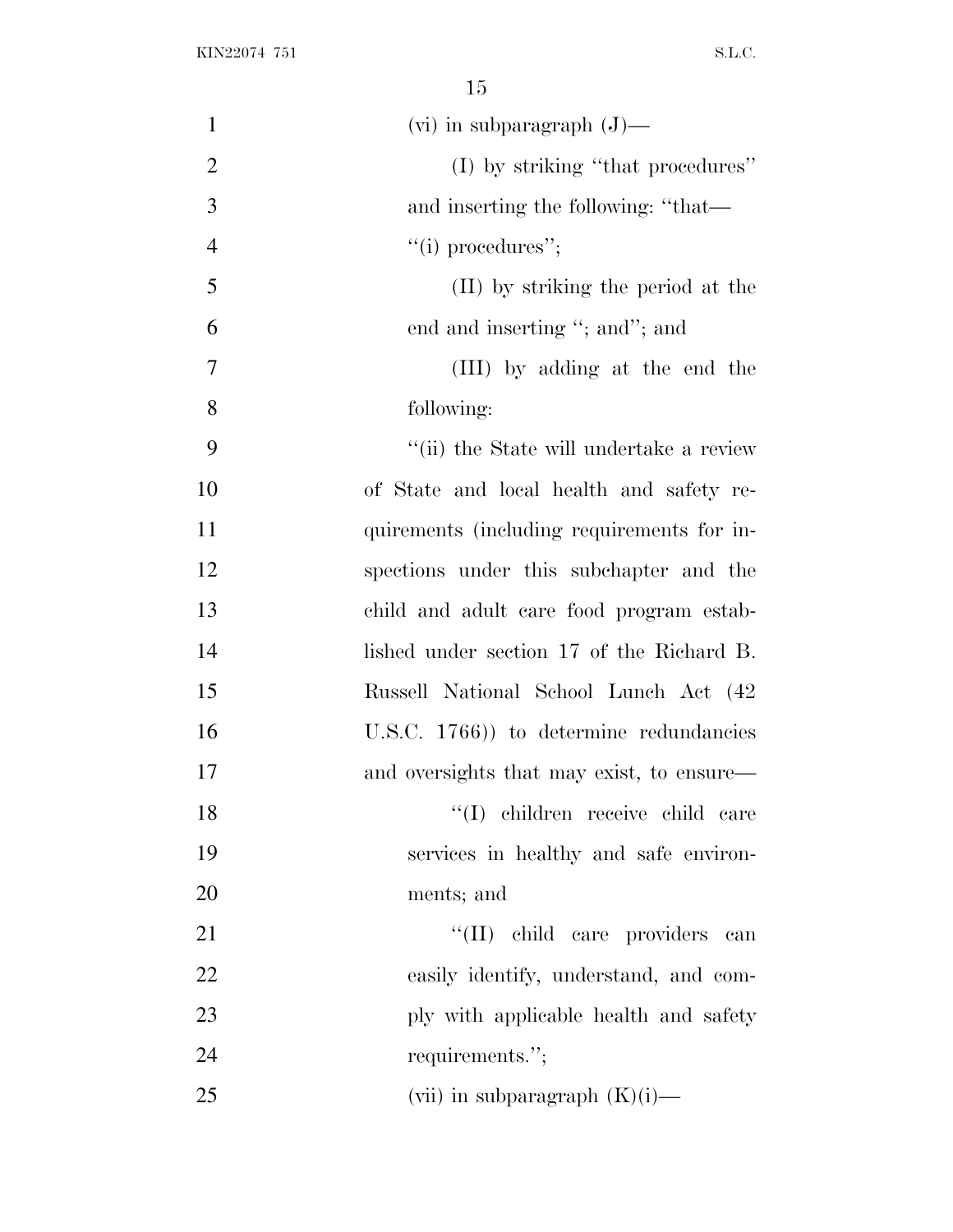| $\mathbf{1}$   | $(vi)$ in subparagraph $(J)$ —             |
|----------------|--------------------------------------------|
| $\overline{2}$ | (I) by striking "that procedures"          |
| 3              | and inserting the following: "that—        |
| $\overline{4}$ | "(i) procedures";                          |
| 5              | (II) by striking the period at the         |
| 6              | end and inserting "; and"; and             |
| $\tau$         | (III) by adding at the end the             |
| 8              | following:                                 |
| 9              | "(ii) the State will undertake a review    |
| 10             | of State and local health and safety re-   |
| 11             | quirements (including requirements for in- |
| 12             | spections under this subchapter and the    |
| 13             | child and adult care food program estab-   |
| 14             | lished under section 17 of the Richard B.  |
| 15             | Russell National School Lunch Act (42)     |
| 16             | U.S.C. $1766$ ) to determine redundancies  |
| 17             | and oversights that may exist, to ensure—  |
| 18             | "(I) children receive child care           |
| 19             | services in healthy and safe environ-      |
| 20             | ments; and                                 |
| 21             | "(II) child care providers can             |
| 22             | easily identify, understand, and com-      |
| 23             | ply with applicable health and safety      |
| 24             | requirements.";                            |
| 25             | (vii) in subparagraph $(K)(i)$ —           |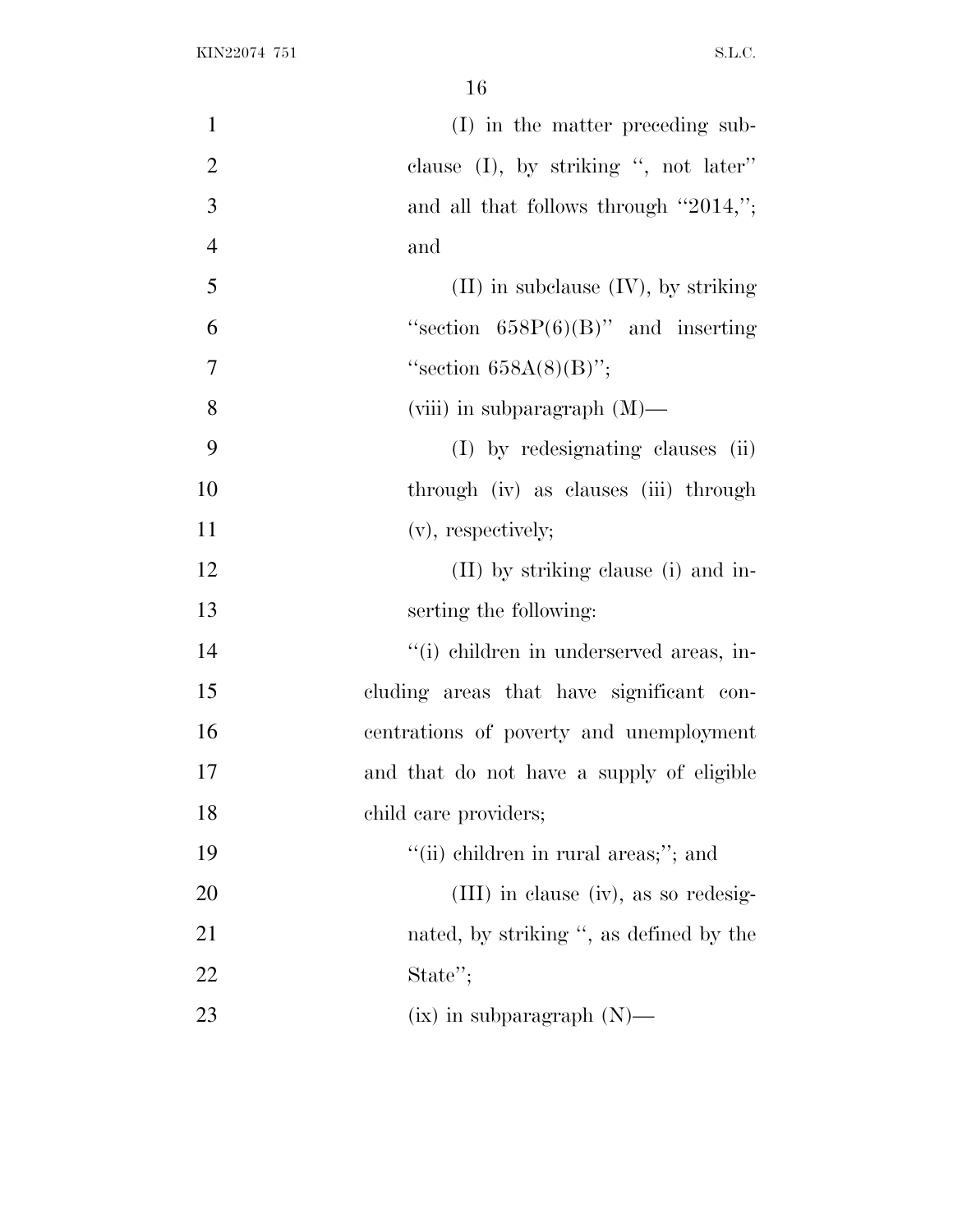| $\mathbf{1}$   | (I) in the matter preceding sub-          |
|----------------|-------------------------------------------|
| $\overline{2}$ | clause $(I)$ , by striking ", not later"  |
| 3              | and all that follows through "2014,";     |
| $\overline{4}$ | and                                       |
| 5              | $(II)$ in subclause $(IV)$ , by striking  |
| 6              | "section $658P(6)(B)$ " and inserting     |
| $\overline{7}$ | "section $658A(8)(B)$ ";                  |
| 8              | (viii) in subparagraph $(M)$ —            |
| 9              | (I) by redesignating clauses (ii)         |
| 10             | through (iv) as clauses (iii) through     |
| 11             | $(v)$ , respectively;                     |
| 12             | (II) by striking clause (i) and in-       |
| 13             | serting the following:                    |
| 14             | "(i) children in underserved areas, in-   |
| 15             | cluding areas that have significant con-  |
| 16             | centrations of poverty and unemployment   |
| 17             | and that do not have a supply of eligible |
| 18             | child care providers;                     |
| 19             | "(ii) children in rural areas;"; and      |
| 20             | $(III)$ in clause (iv), as so redesig-    |
| 21             | nated, by striking ", as defined by the   |
| 22             | State";                                   |
| 23             | $(ix)$ in subparagraph $(N)$ —            |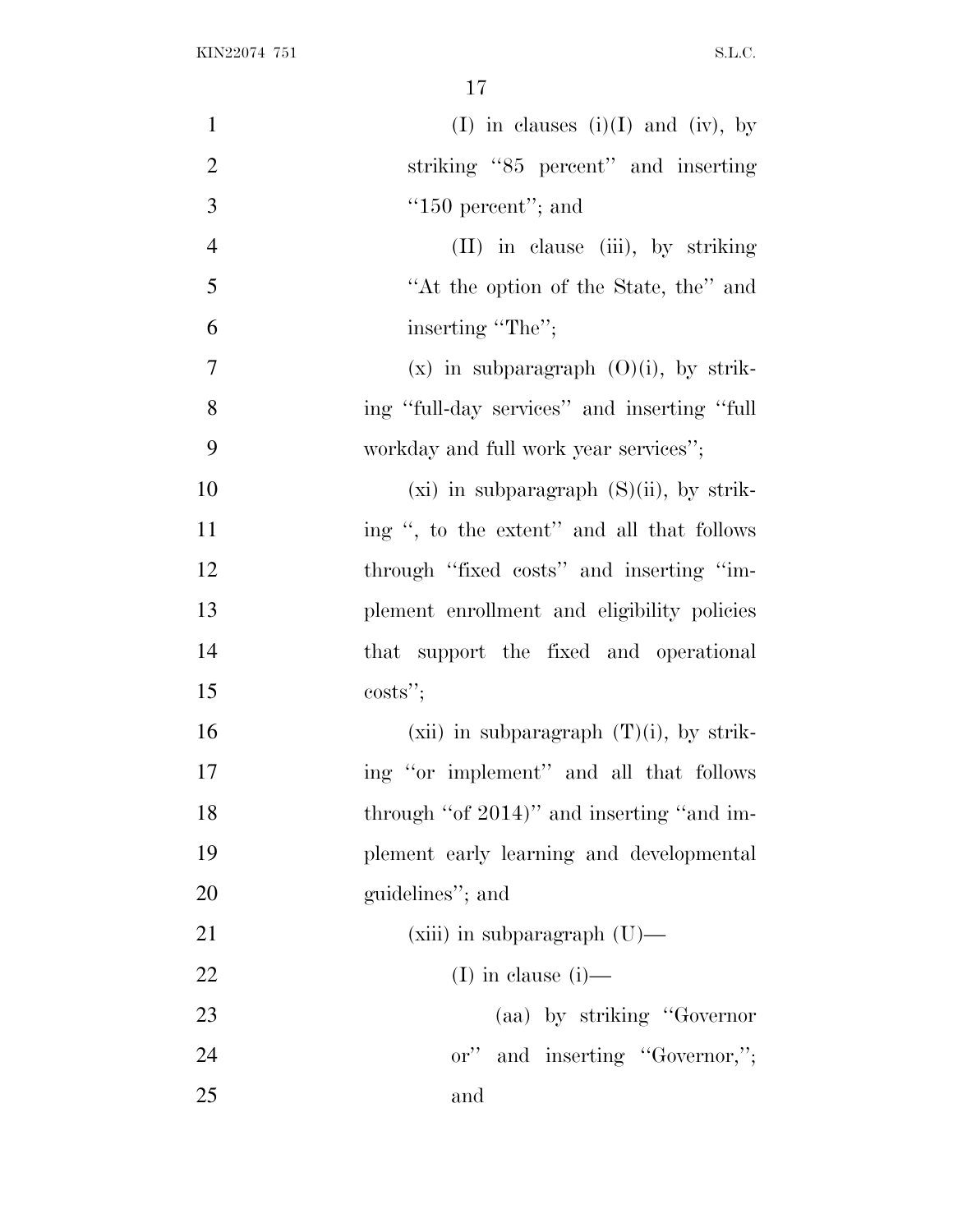| $\mathbf{1}$   | (I) in clauses (i)(I) and (iv), by            |
|----------------|-----------------------------------------------|
| $\overline{2}$ | striking "85 percent" and inserting           |
| 3              | " $150$ percent"; and                         |
| $\overline{4}$ | $(II)$ in clause $(iii)$ , by striking        |
| 5              | "At the option of the State, the" and         |
| 6              | inserting "The";                              |
| $\overline{7}$ | $(x)$ in subparagraph $(O)(i)$ , by strik-    |
| 8              | ing "full-day services" and inserting "full   |
| 9              | workday and full work year services";         |
| 10             | $(xi)$ in subparagraph $(S)(ii)$ , by strik-  |
| 11             | ing ", to the extent" and all that follows    |
| 12             | through "fixed costs" and inserting "im-      |
| 13             | plement enrollment and eligibility policies   |
| 14             | that support the fixed and operational        |
| 15             | $costs$ ";                                    |
| 16             | (xii) in subparagraph $(T)(i)$ , by strik-    |
| 17             | ing "or implement" and all that follows       |
| 18             | through "of 2014)" and inserting "and im-     |
| 19             | plement early learning and developmental      |
| 20             | guidelines"; and                              |
| 21             | $(xiii)$ in subparagraph $(U)$ —              |
| 22             | (I) in clause $(i)$ —                         |
| 23             | (aa) by striking "Governor                    |
| 24             | and inserting "Governor,";<br>$\mathbf{or}''$ |
| 25             | and                                           |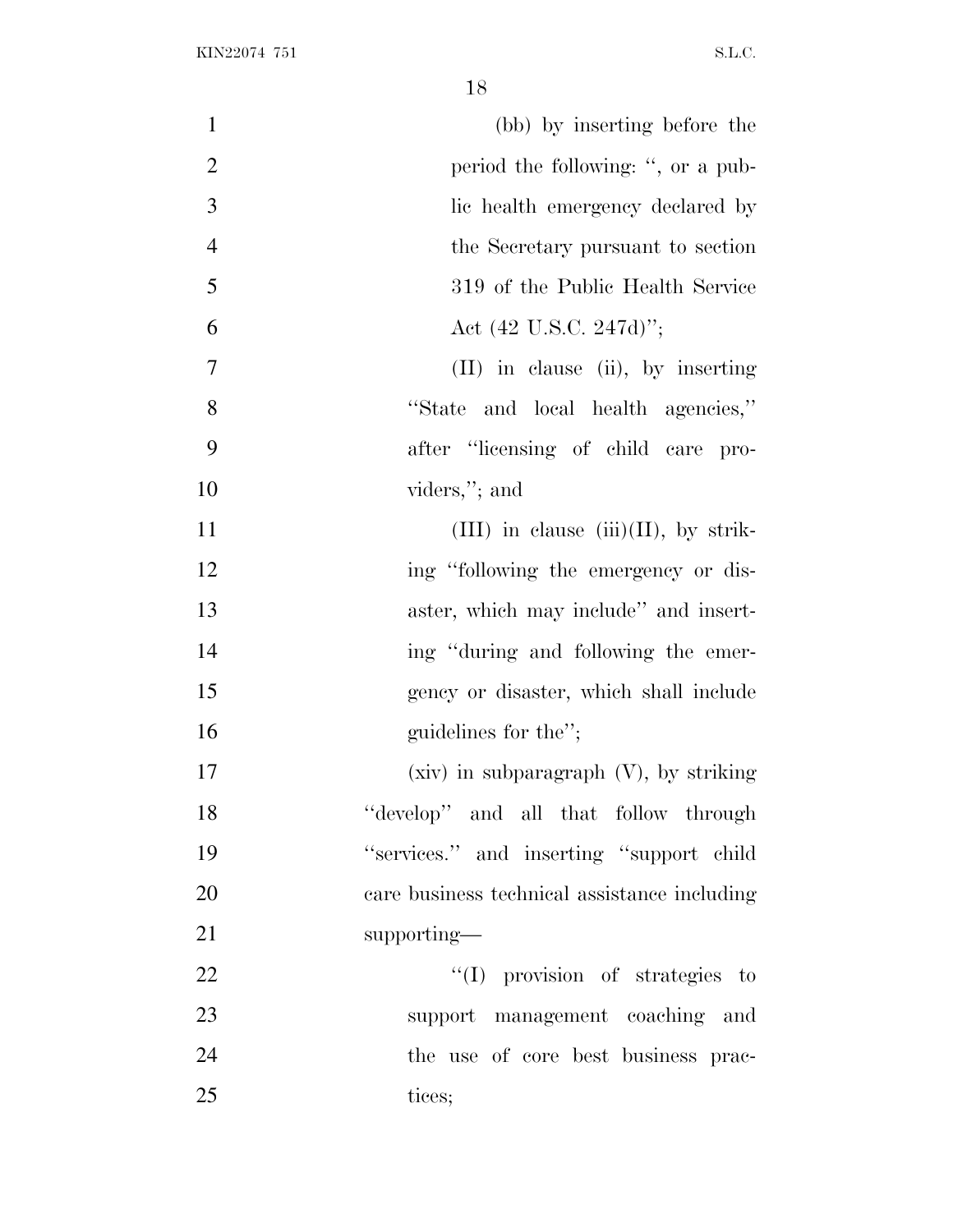| $\mathbf{1}$   | (bb) by inserting before the                 |
|----------------|----------------------------------------------|
| $\overline{2}$ | period the following: ", or a pub-           |
| 3              | lic health emergency declared by             |
| $\overline{4}$ | the Secretary pursuant to section            |
| 5              | 319 of the Public Health Service             |
| 6              | Act $(42 \text{ U.S.C. } 247d)$ ";           |
| $\overline{7}$ | $(II)$ in clause $(ii)$ , by inserting       |
| 8              | "State and local health agencies,"           |
| 9              | after "licensing of child care pro-          |
| 10             | viders,"; and                                |
| 11             | (III) in clause (iii)(II), by strik-         |
| 12             | ing "following the emergency or dis-         |
| 13             | aster, which may include" and insert-        |
| 14             | ing "during and following the emer-          |
| 15             | gency or disaster, which shall include       |
| 16             | guidelines for the";                         |
| 17             | $(xiv)$ in subparagraph $(V)$ , by striking  |
| 18             | "develop" and all that follow through        |
| 19             | "services." and inserting "support child     |
| 20             | care business technical assistance including |
| 21             | supporting—                                  |
| 22             | "(I) provision of strategies to              |
| 23             | support management coaching and              |
| 24             | the use of core best business prac-          |
| 25             | tices;                                       |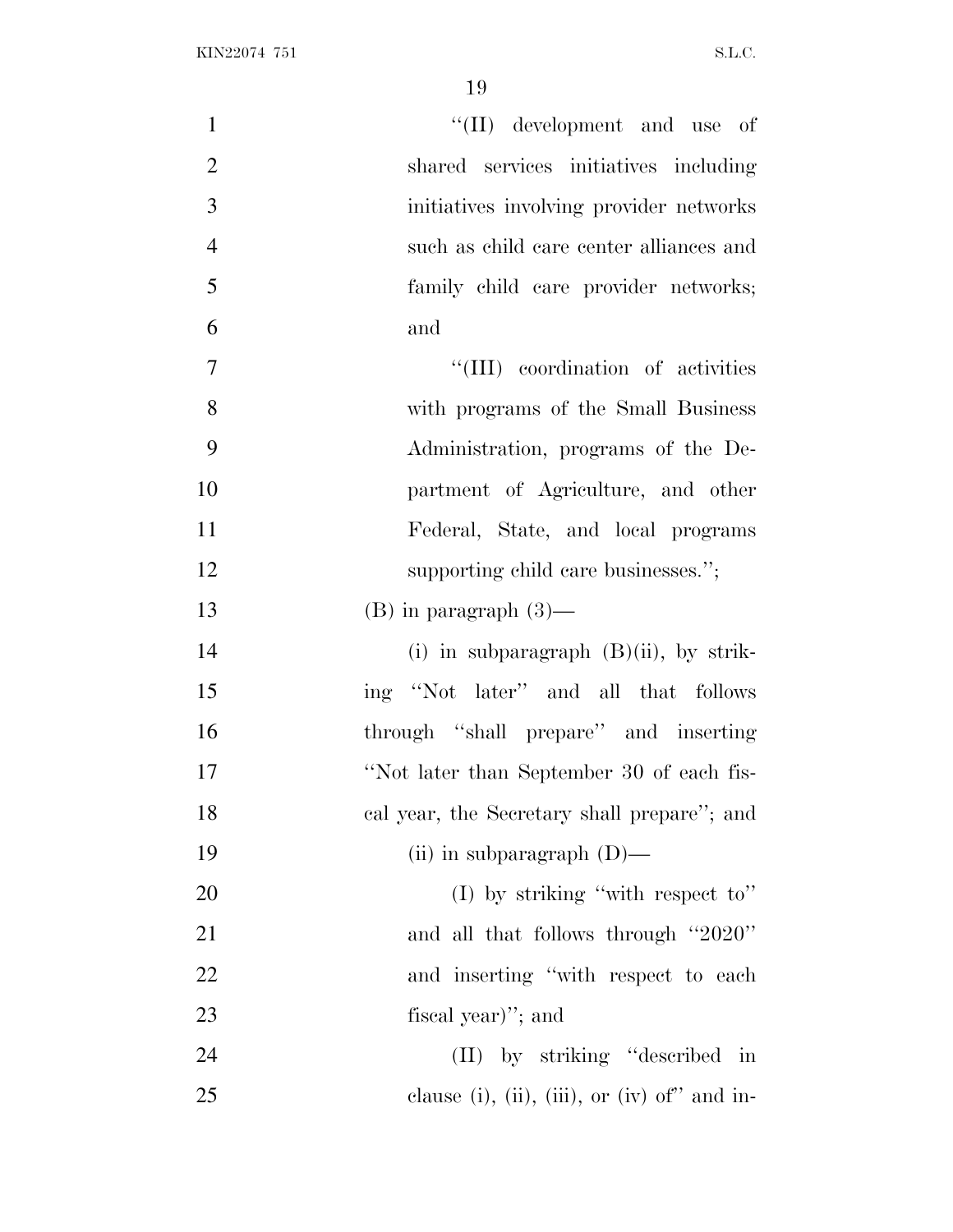| $\mathbf{1}$   | "(II) development and use of                 |
|----------------|----------------------------------------------|
| $\overline{2}$ | shared services initiatives including        |
| 3              | initiatives involving provider networks      |
| $\overline{4}$ | such as child care center alliances and      |
| 5              | family child care provider networks;         |
| 6              | and                                          |
| $\tau$         | "(III) coordination of activities            |
| $8\,$          | with programs of the Small Business          |
| 9              | Administration, programs of the De-          |
| 10             | partment of Agriculture, and other           |
| 11             | Federal, State, and local programs           |
| 12             | supporting child care businesses.";          |
| 13             | $(B)$ in paragraph $(3)$ —                   |
| 14             | (i) in subparagraph $(B)(ii)$ , by strik-    |
| 15             | ing "Not later" and all that follows         |
| 16             | through "shall prepare" and inserting        |
| 17             | "Not later than September 30 of each fis-    |
| 18             | cal year, the Secretary shall prepare"; and  |
| 19             | (ii) in subparagraph $(D)$ —                 |
| 20             | (I) by striking "with respect to"            |
| 21             | and all that follows through "2020"          |
| 22             | and inserting "with respect to each          |
| 23             | fiscal year)"; and                           |
| 24             | (II) by striking "described in               |
| 25             | clause (i), (ii), (iii), or (iv) of" and in- |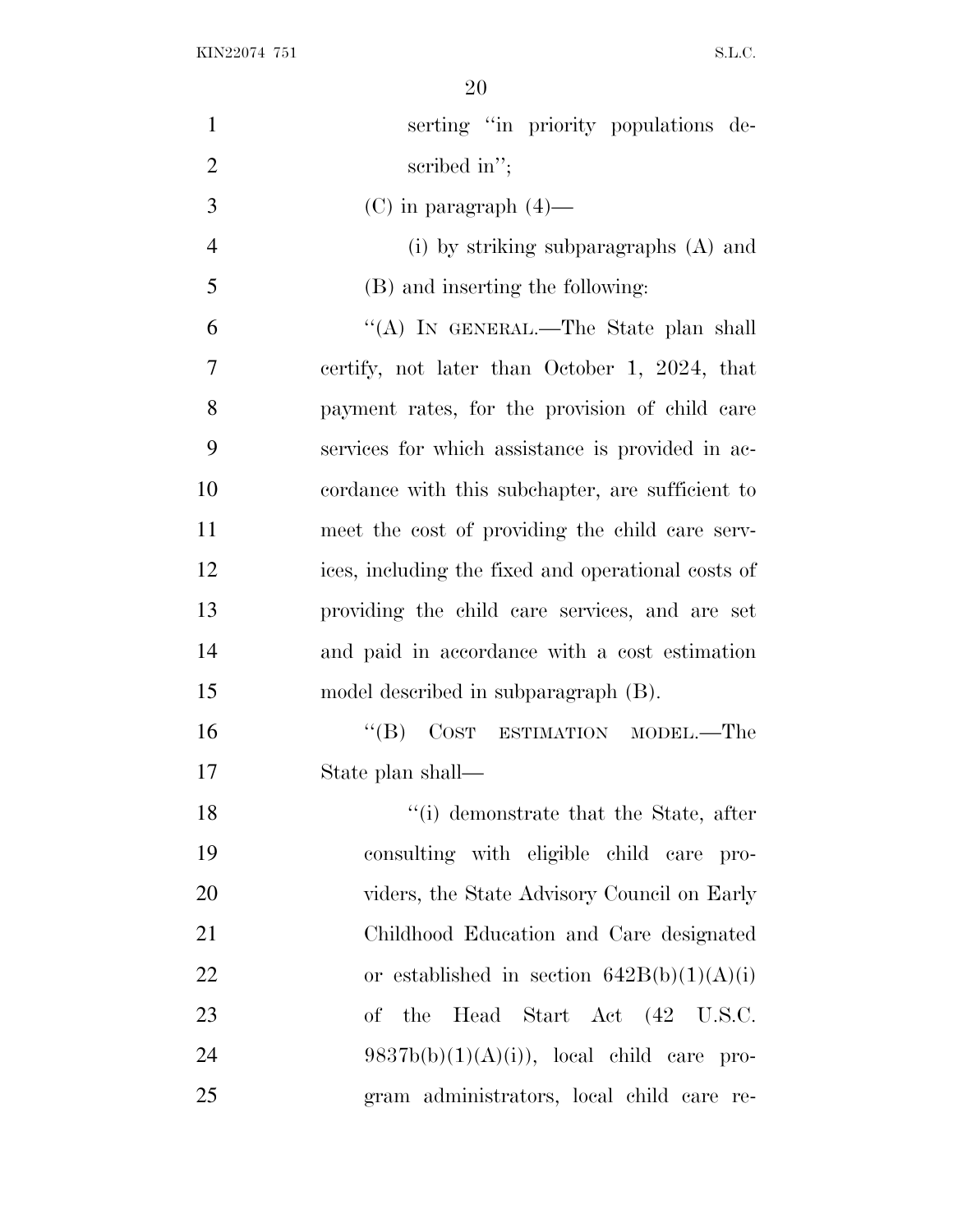| $\mathbf{1}$   | serting "in priority populations de-               |
|----------------|----------------------------------------------------|
| $\overline{2}$ | scribed in $"$ ;                                   |
| 3              | $(C)$ in paragraph $(4)$ —                         |
| $\overline{4}$ | $(i)$ by striking subparagraphs $(A)$ and          |
| 5              | (B) and inserting the following:                   |
| 6              | "(A) IN GENERAL.—The State plan shall              |
| $\tau$         | certify, not later than October 1, 2024, that      |
| 8              | payment rates, for the provision of child care     |
| 9              | services for which assistance is provided in ac-   |
| 10             | cordance with this subchapter, are sufficient to   |
| 11             | meet the cost of providing the child care serv-    |
| 12             | ices, including the fixed and operational costs of |
| 13             | providing the child care services, and are set     |
| 14             | and paid in accordance with a cost estimation      |
| 15             | model described in subparagraph (B).               |
| 16             | $\lq\lq (B)$<br>COST ESTIMATION MODEL.—The         |
| 17             | State plan shall—                                  |
| 18             | "(i) demonstrate that the State, after             |
| 19             | consulting with eligible child care pro-           |
| 20             | viders, the State Advisory Council on Early        |
| 21             | Childhood Education and Care designated            |
| 22             | or established in section $642B(b)(1)(A)(i)$       |
| 23             | of the Head Start Act (42 U.S.C.                   |
| 24             | $9837b(b)(1)(A)(i)$ , local child care pro-        |
| 25             | gram administrators, local child care re-          |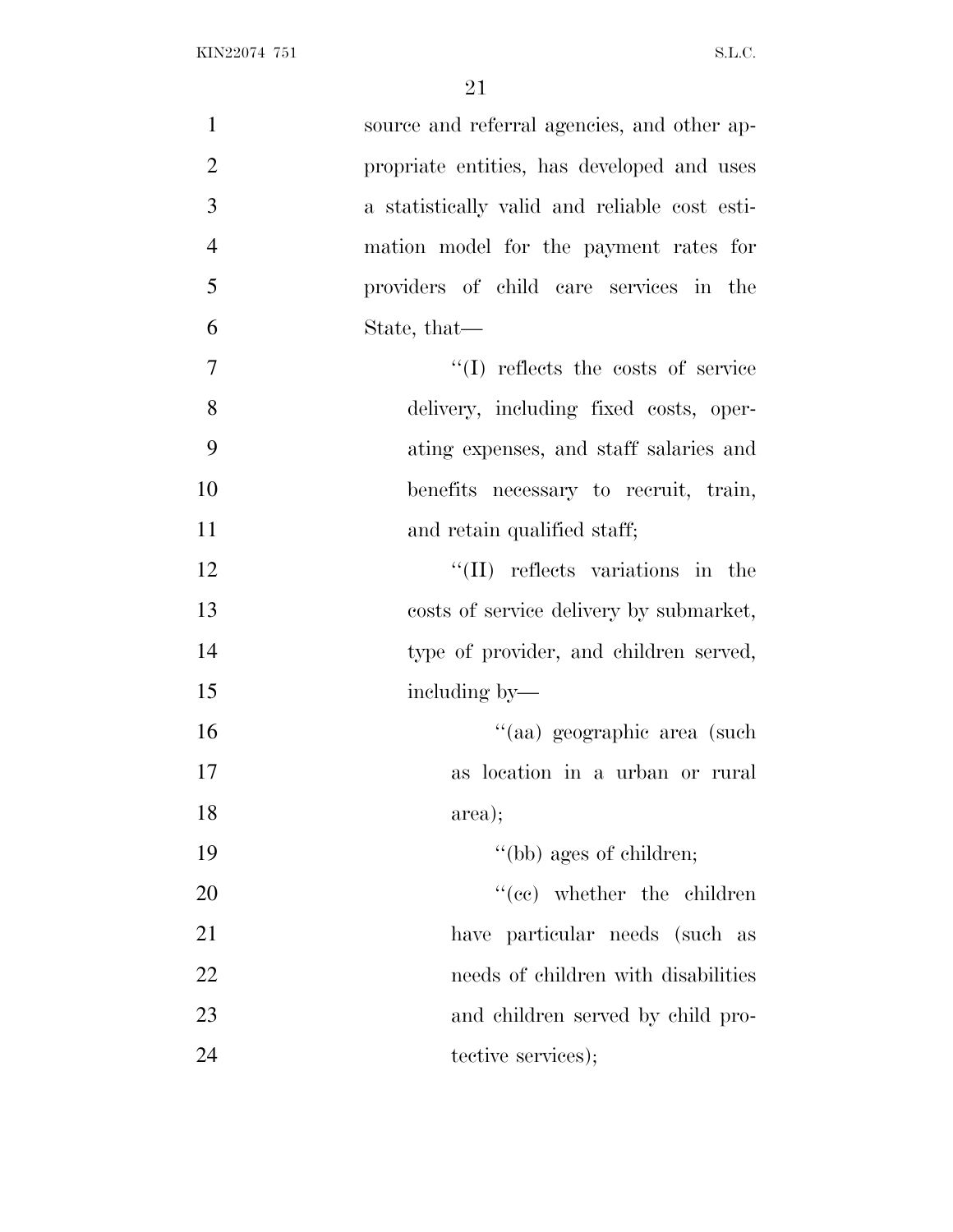| $\mathbf{1}$   | source and referral agencies, and other ap-   |
|----------------|-----------------------------------------------|
| $\overline{2}$ | propriate entities, has developed and uses    |
| 3              | a statistically valid and reliable cost esti- |
| $\overline{4}$ | mation model for the payment rates for        |
| 5              | providers of child care services in the       |
| 6              | State, that—                                  |
| $\tau$         | "(I) reflects the costs of service            |
| 8              | delivery, including fixed costs, oper-        |
| 9              | ating expenses, and staff salaries and        |
| 10             | benefits necessary to recruit, train,         |
| 11             | and retain qualified staff;                   |
| 12             | $\lq\lq$ (II) reflects variations in the      |
| 13             | costs of service delivery by submarket,       |
| 14             | type of provider, and children served,        |
| 15             | including by—                                 |
| 16             | "(aa) geographic area (such                   |
| 17             | as location in a urban or rural               |
| 18             | area);                                        |
| 19             | "(bb) ages of children;                       |
| 20             | $``(ee)$ whether the children                 |
| 21             | have particular needs (such as                |
| 22             | needs of children with disabilities           |
| 23             | and children served by child pro-             |
| 24             | tective services);                            |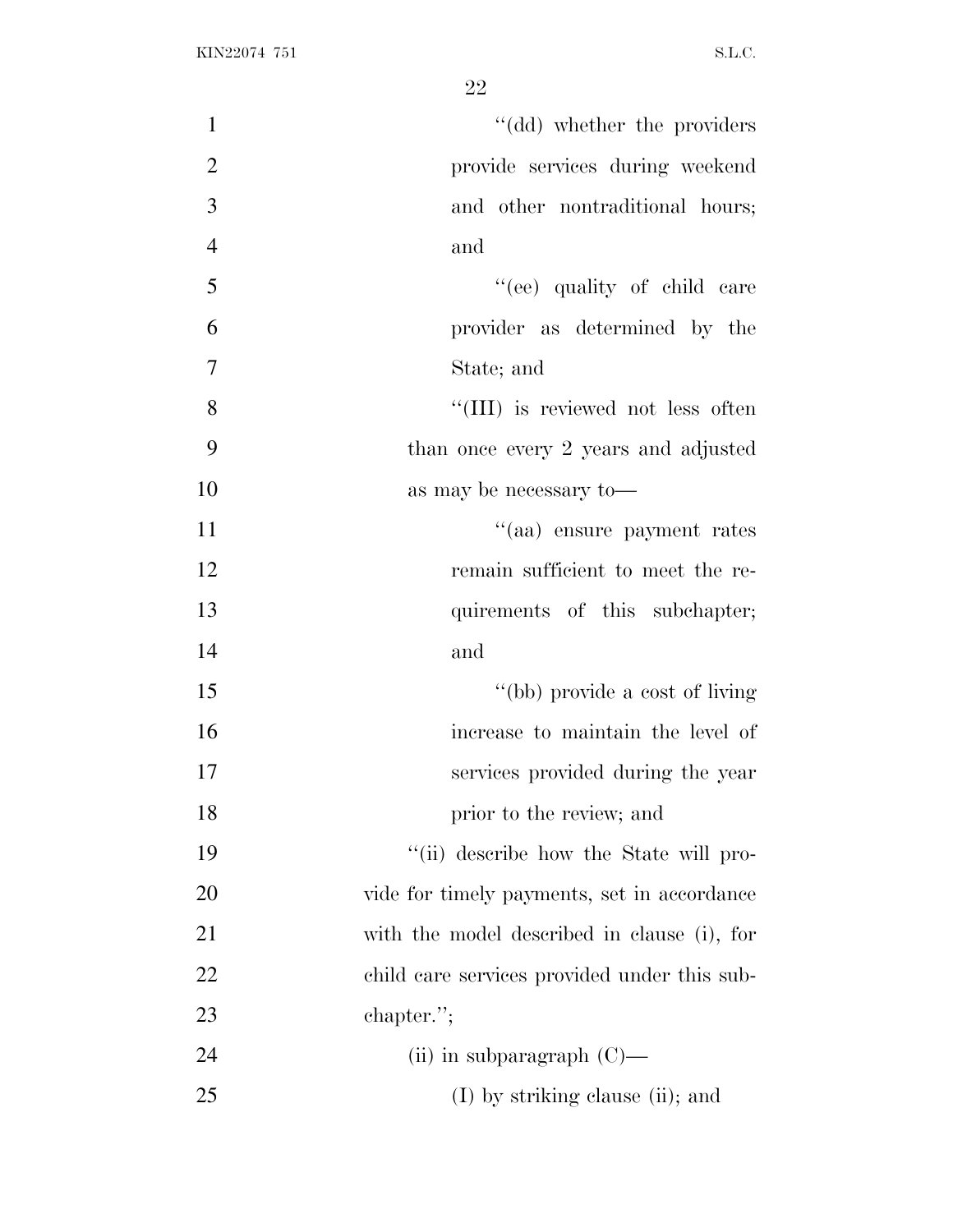| $\mathbf{1}$   | "(dd) whether the providers                  |
|----------------|----------------------------------------------|
| $\sqrt{2}$     | provide services during weekend              |
| $\overline{3}$ | and other nontraditional hours;              |
| $\overline{4}$ | and                                          |
| 5              | "(ee) quality of child care                  |
| 6              | provider as determined by the                |
| $\overline{7}$ | State; and                                   |
| 8              | "(III) is reviewed not less often            |
| 9              | than once every 2 years and adjusted         |
| 10             | as may be necessary to-                      |
| 11             | "(aa) ensure payment rates                   |
| 12             | remain sufficient to meet the re-            |
| 13             | quirements of this subchapter;               |
| 14             | and                                          |
| 15             | "(bb) provide a cost of living               |
| 16             | increase to maintain the level of            |
| 17             | services provided during the year            |
| 18             | prior to the review; and                     |
| 19             | "(ii) describe how the State will pro-       |
| 20             | vide for timely payments, set in accordance  |
| 21             | with the model described in clause (i), for  |
| 22             | child care services provided under this sub- |
| 23             | chapter.";                                   |
| 24             | (ii) in subparagraph $(C)$ —                 |
| 25             | (I) by striking clause (ii); and             |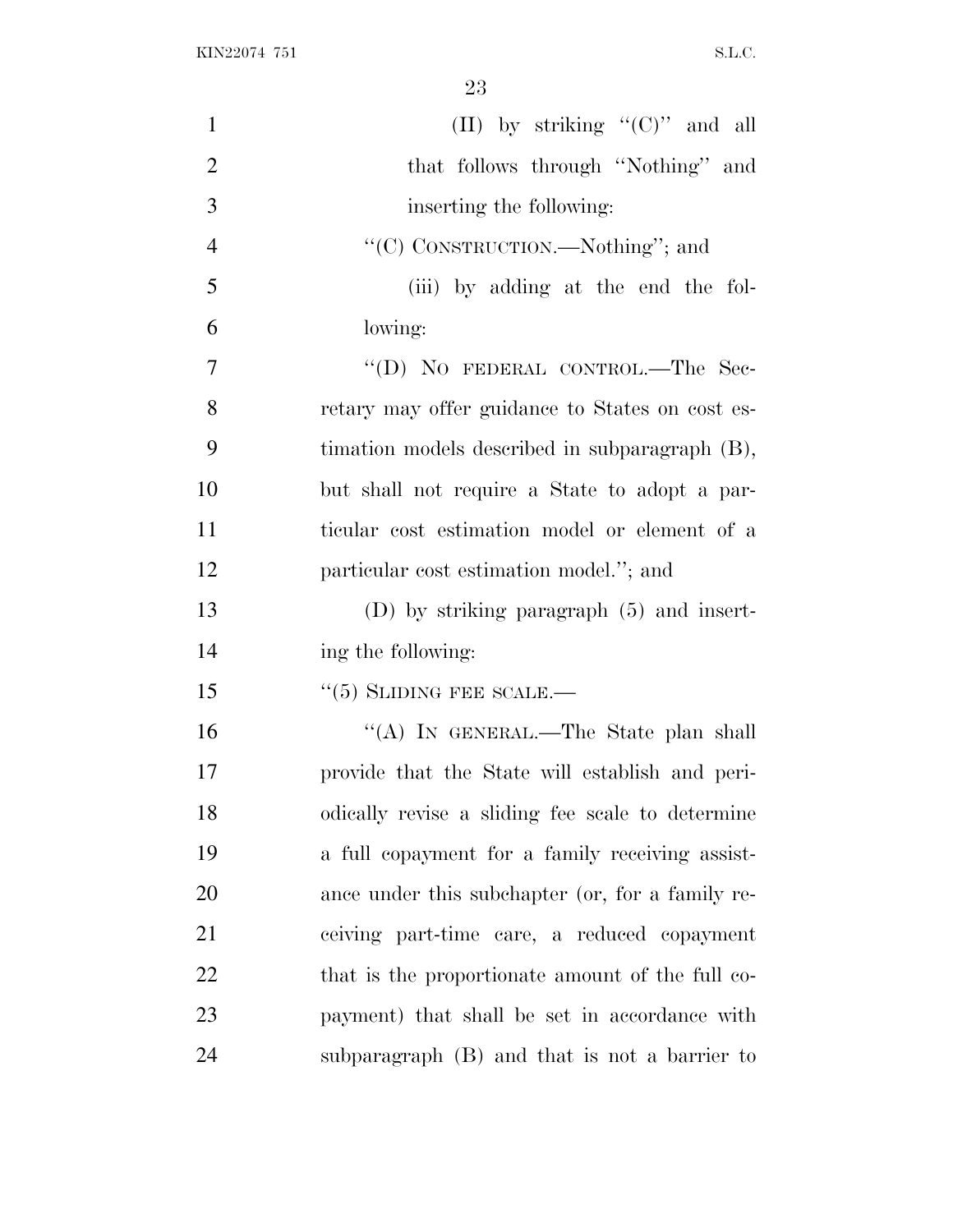| $\mathbf{1}$   | (II) by striking " $(C)$ " and all               |
|----------------|--------------------------------------------------|
| $\overline{2}$ | that follows through "Nothing" and               |
| 3              | inserting the following:                         |
| $\overline{4}$ | "(C) CONSTRUCTION.—Nothing"; and                 |
| 5              | (iii) by adding at the end the fol-              |
| 6              | lowing:                                          |
| 7              | "(D) NO FEDERAL CONTROL.-The Sec-                |
| 8              | retary may offer guidance to States on cost es-  |
| 9              | timation models described in subparagraph (B),   |
| 10             | but shall not require a State to adopt a par-    |
| 11             | ticular cost estimation model or element of a    |
| 12             | particular cost estimation model."; and          |
| 13             | $(D)$ by striking paragraph $(5)$ and insert-    |
| 14             | ing the following:                               |
| 15             | $\cdot\cdot$ (5) SLIDING FEE SCALE.—             |
| 16             | "(A) IN GENERAL.—The State plan shall            |
| 17             | provide that the State will establish and peri-  |
| 18             | odically revise a sliding fee scale to determine |
| 19             | a full copayment for a family receiving assist-  |
| 20             | ance under this subchapter (or, for a family re- |
| 21             | ceiving part-time care, a reduced copayment      |
| 22             | that is the proportionate amount of the full co- |
| 23             | payment) that shall be set in accordance with    |
| 24             | subparagraph (B) and that is not a barrier to    |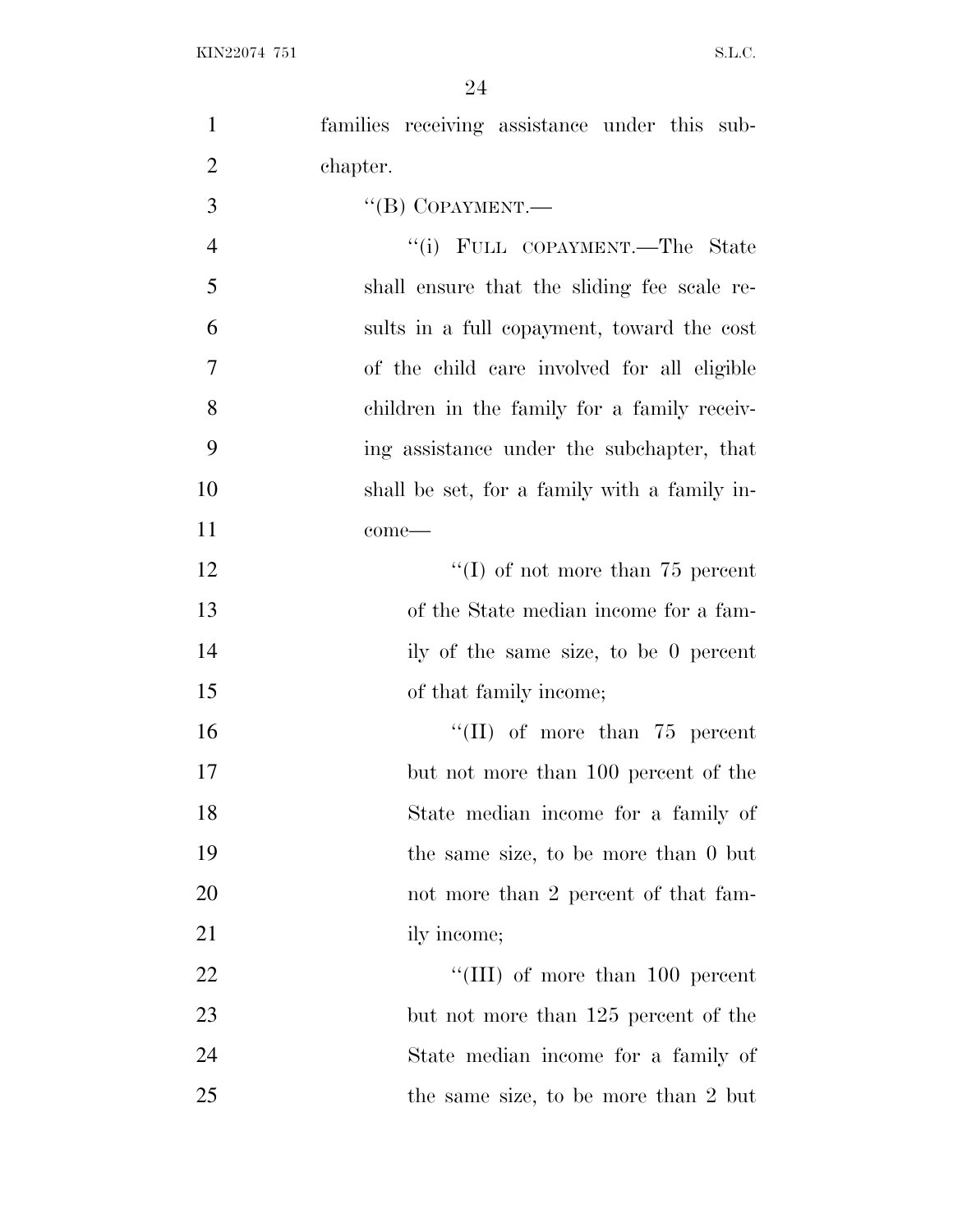| $\mathbf{1}$   | families receiving assistance under this sub- |
|----------------|-----------------------------------------------|
| $\overline{2}$ | chapter.                                      |
| 3              | "(B) COPAYMENT.—                              |
| $\overline{4}$ | "(i) FULL COPAYMENT.—The State                |
| 5              | shall ensure that the sliding fee scale re-   |
| 6              | sults in a full copayment, toward the cost    |
| $\tau$         | of the child care involved for all eligible   |
| 8              | children in the family for a family receiv-   |
| 9              | ing assistance under the subchapter, that     |
| 10             | shall be set, for a family with a family in-  |
| 11             | come-                                         |
| 12             | "(I) of not more than $75$ percent            |
| 13             | of the State median income for a fam-         |
| 14             | ily of the same size, to be 0 percent         |
| 15             | of that family income;                        |
| 16             | $\lq\lq$ (II) of more than 75 percent         |
| 17             | but not more than 100 percent of the          |
| 18             | State median income for a family of           |
| 19             | the same size, to be more than 0 but          |
| 20             | not more than 2 percent of that fam-          |
| 21             | ily income;                                   |
| 22             | "(III) of more than $100$ percent             |
| 23             | but not more than 125 percent of the          |
| 24             | State median income for a family of           |
| 25             | the same size, to be more than 2 but          |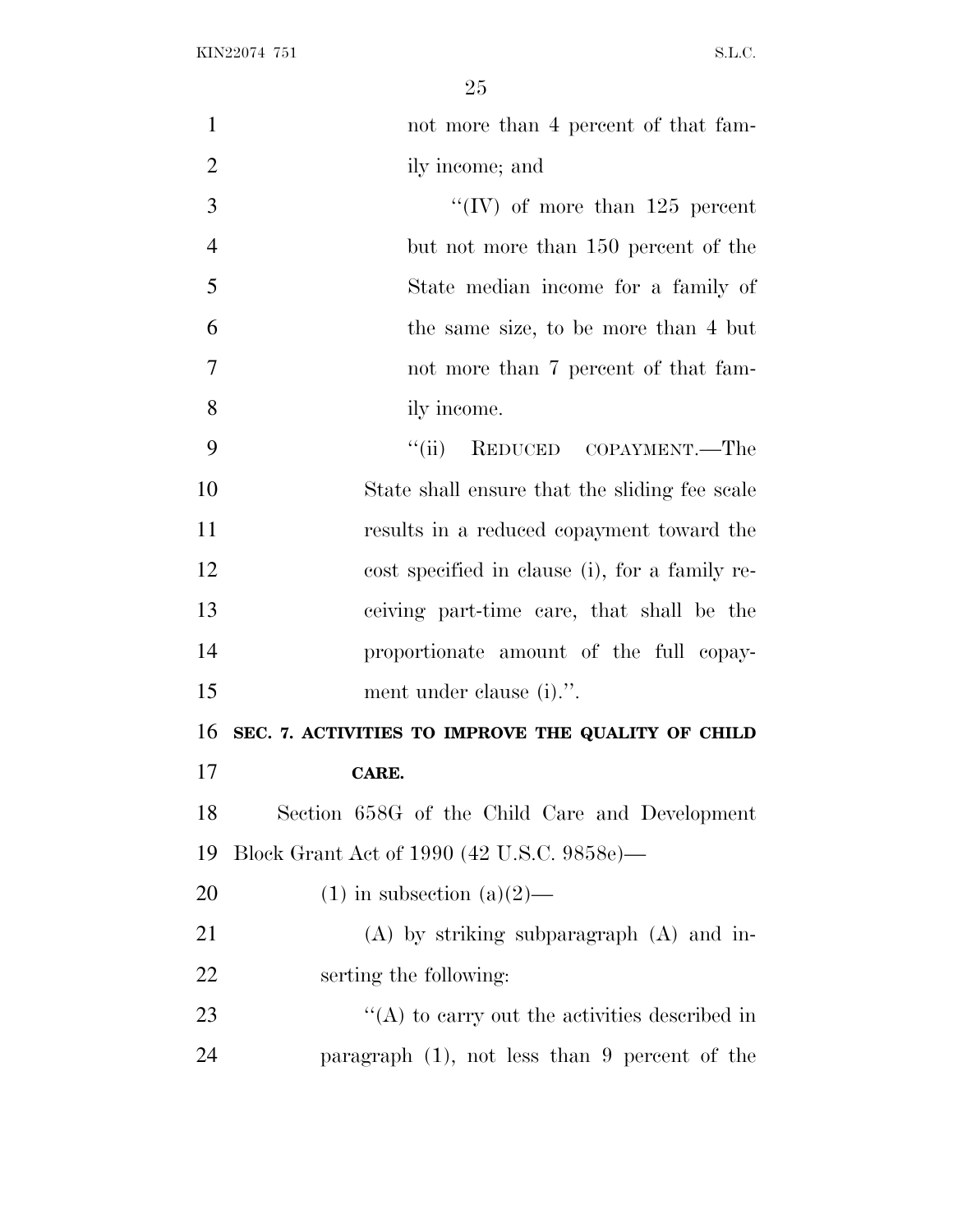| $\mathbf{1}$   | not more than 4 percent of that fam-               |
|----------------|----------------------------------------------------|
| $\overline{2}$ | ily income; and                                    |
| 3              | "(IV) of more than $125$ percent                   |
| $\overline{4}$ | but not more than 150 percent of the               |
| 5              | State median income for a family of                |
| 6              | the same size, to be more than 4 but               |
| 7              | not more than 7 percent of that fam-               |
| 8              | ily income.                                        |
| 9              | REDUCED COPAYMENT.—The<br>``(ii)                   |
| 10             | State shall ensure that the sliding fee scale      |
| 11             | results in a reduced copayment toward the          |
| 12             | cost specified in clause (i), for a family re-     |
| 13             | ceiving part-time care, that shall be the          |
| 14             | proportionate amount of the full copay-            |
| 15             | ment under clause (i).".                           |
| 16             | SEC. 7. ACTIVITIES TO IMPROVE THE QUALITY OF CHILD |
| 17             | CARE.                                              |
| 18             | Section 658G of the Child Care and Development     |
| 19             | Block Grant Act of 1990 (42 U.S.C. 9858e)—         |
| 20             | $(1)$ in subsection $(a)(2)$ —                     |
| 21             | $(A)$ by striking subparagraph $(A)$ and in-       |
| 22             | serting the following:                             |
| 23             | $\lq\lq$ to carry out the activities described in  |
| 24             | paragraph $(1)$ , not less than 9 percent of the   |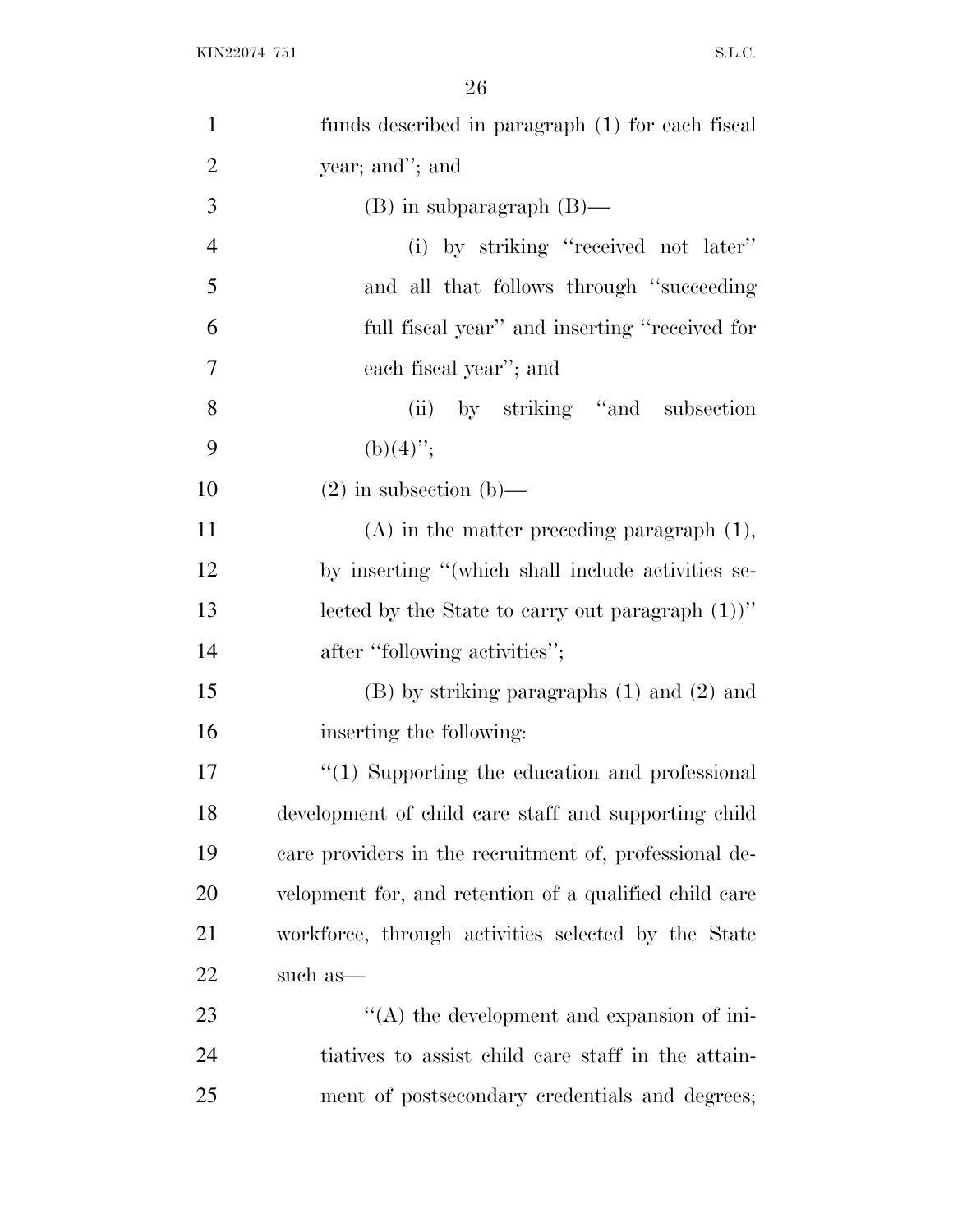| $\mathbf{1}$   | funds described in paragraph (1) for each fiscal       |
|----------------|--------------------------------------------------------|
| $\overline{2}$ | year; and"; and                                        |
| 3              | $(B)$ in subparagraph $(B)$ —                          |
| $\overline{4}$ | (i) by striking "received not later"                   |
| 5              | and all that follows through "succeeding"              |
| 6              | full fiscal year" and inserting "received for          |
| 7              | each fiscal year"; and                                 |
| 8              | (ii) by striking "and subsection                       |
| 9              | $(b)(4)$ ";                                            |
| 10             | $(2)$ in subsection $(b)$ —                            |
| 11             | $(A)$ in the matter preceding paragraph $(1)$ ,        |
| 12             | by inserting "(which shall include activities se-      |
| 13             | lected by the State to carry out paragraph $(1)$ "     |
| 14             | after "following activities";                          |
| 15             | $(B)$ by striking paragraphs $(1)$ and $(2)$ and       |
| 16             | inserting the following:                               |
| 17             | $\lq(1)$ Supporting the education and professional     |
| 18             | development of child care staff and supporting child   |
| 19             | care providers in the recruitment of, professional de- |
| 20             | velopment for, and retention of a qualified child care |
| 21             | workforce, through activities selected by the State    |
| 22             | such as—                                               |
| 23             | $\lq\lq$ the development and expansion of ini-         |
| 24             | tiatives to assist child care staff in the attain-     |
| 25             | ment of postsecondary credentials and degrees;         |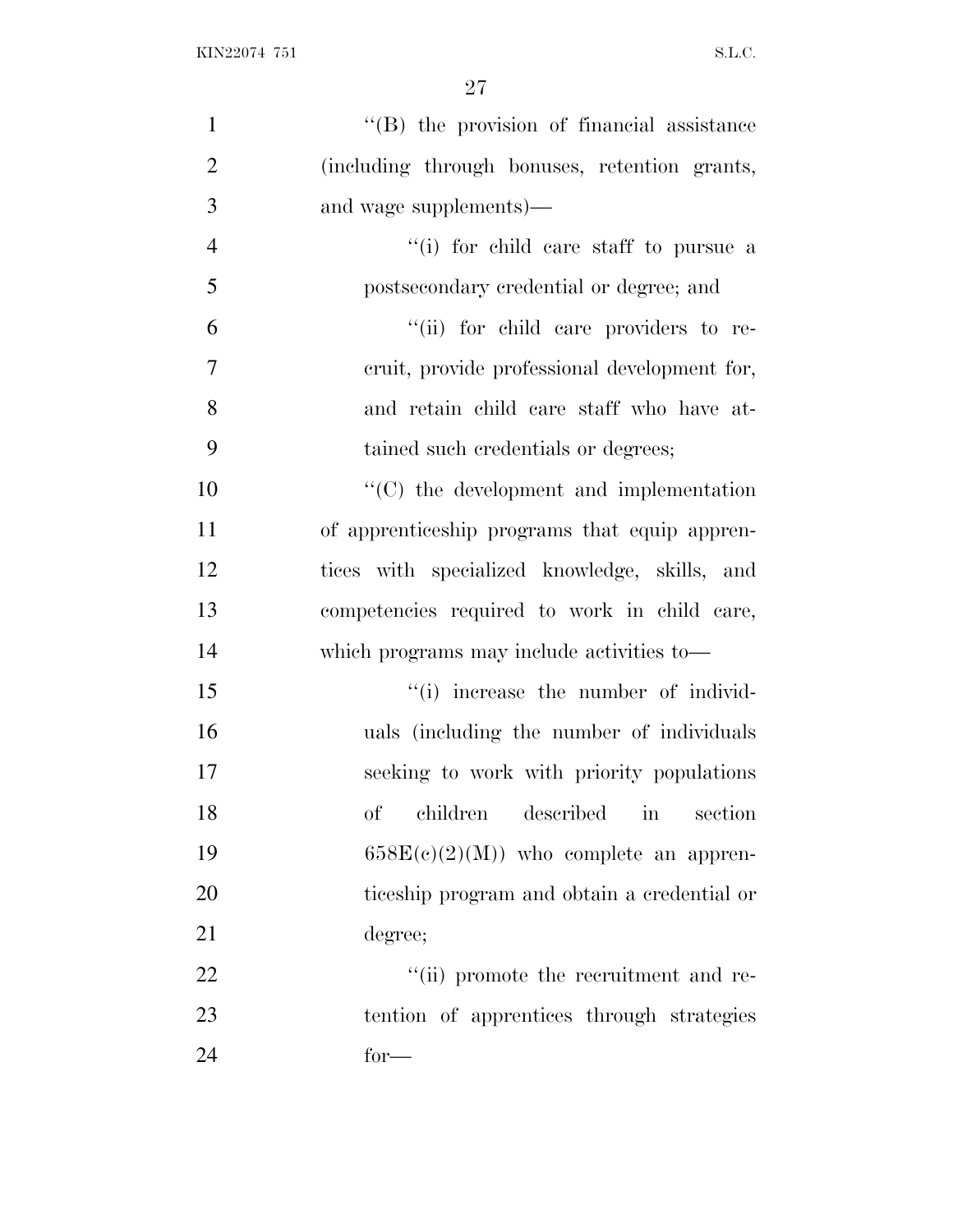| $\mathbf{1}$   | "(B) the provision of financial assistance                    |
|----------------|---------------------------------------------------------------|
| $\overline{2}$ | (including through bonuses, retention grants,                 |
| 3              | and wage supplements)—                                        |
| $\overline{4}$ | "(i) for child care staff to pursue a                         |
| 5              | postsecondary credential or degree; and                       |
| 6              | "(ii) for child care providers to re-                         |
| $\tau$         | eruit, provide professional development for,                  |
| 8              | and retain child care staff who have at-                      |
| 9              | tained such credentials or degrees;                           |
| 10             | $\cdot$ (C) the development and implementation                |
| 11             | of apprenticeship programs that equip appren-                 |
| 12             | tices with specialized knowledge, skills, and                 |
| 13             | competencies required to work in child care,                  |
| 14             | which programs may include activities to—                     |
| 15             | "(i) increase the number of individ-                          |
| 16             | uals (including the number of individuals                     |
| 17             | seeking to work with priority populations                     |
| 18             | children<br>described<br>of<br>$\operatorname{in}$<br>section |
| 19             | $658E(c)(2)(M)$ who complete an appren-                       |
| 20             | ticeship program and obtain a credential or                   |
| 21             | degree;                                                       |
| 22             | "(ii) promote the recruitment and re-                         |
| 23             | tention of apprentices through strategies                     |
| 24             | $for-$                                                        |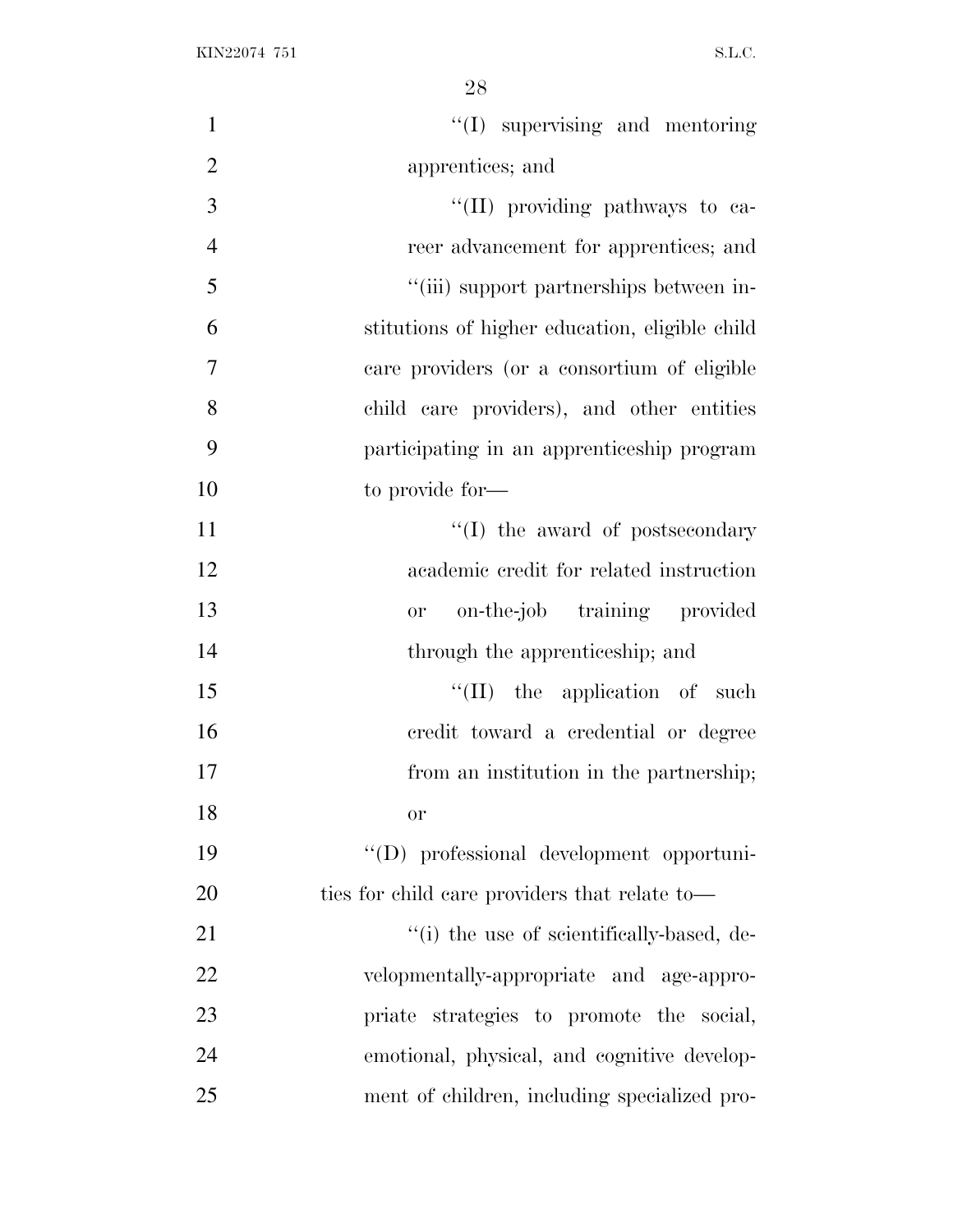| $\mathbf{1}$   | "(I) supervising and mentoring                 |
|----------------|------------------------------------------------|
| $\overline{2}$ | apprentices; and                               |
| 3              | "(II) providing pathways to ca-                |
| $\overline{4}$ | reer advancement for apprentices; and          |
| 5              | "(iii) support partnerships between in-        |
| 6              | stitutions of higher education, eligible child |
| $\overline{7}$ | care providers (or a consortium of eligible    |
| 8              | child care providers), and other entities      |
| 9              | participating in an apprenticeship program     |
| 10             | to provide for-                                |
| 11             | $\lq\lq$ (I) the award of postsecondary        |
| 12             | academic credit for related instruction        |
| 13             | on-the-job training provided<br><b>or</b>      |
| 14             | through the apprenticeship; and                |
| 15             | $\lq\lq$ (II) the application of such          |
| 16             | credit toward a credential or degree           |
| 17             | from an institution in the partnership;        |
| 18             | or                                             |
| 19             | "(D) professional development opportuni-       |
| 20             | ties for child care providers that relate to—  |
| 21             | "(i) the use of scientifically-based, de-      |
| 22             | velopmentally-appropriate and age-appro-       |
| 23             | priate strategies to promote the social,       |
| 24             | emotional, physical, and cognitive develop-    |
| 25             | ment of children, including specialized pro-   |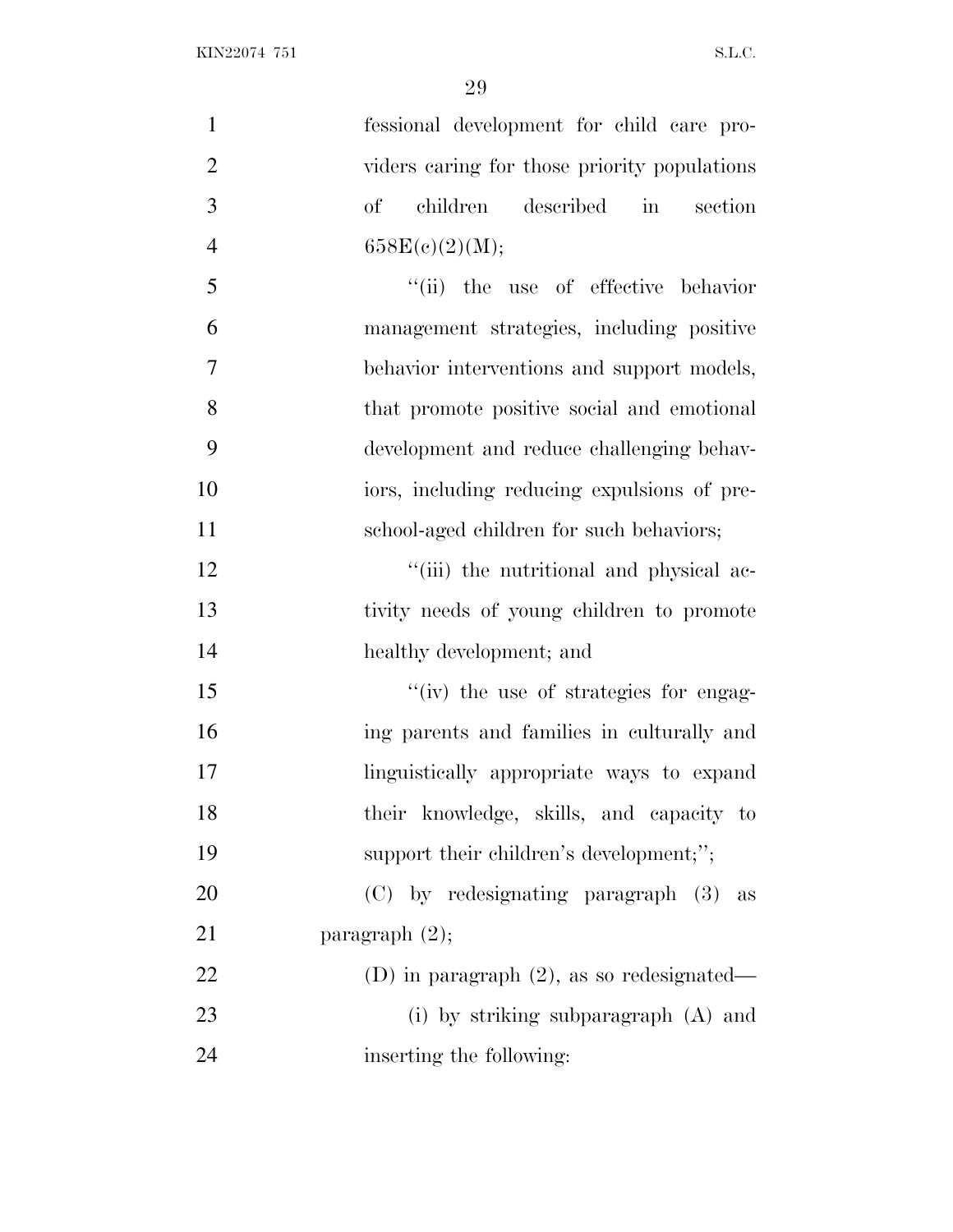| $\mathbf{1}$   | fessional development for child care pro-      |
|----------------|------------------------------------------------|
| $\overline{2}$ | viders caring for those priority populations   |
| 3              | children described in section<br>of            |
| $\overline{4}$ | 658E(c)(2)(M);                                 |
| 5              | "(ii) the use of effective behavior            |
| 6              | management strategies, including positive      |
| $\overline{7}$ | behavior interventions and support models,     |
| 8              | that promote positive social and emotional     |
| 9              | development and reduce challenging behav-      |
| 10             | iors, including reducing expulsions of pre-    |
| 11             | school-aged children for such behaviors;       |
| 12             | "(iii) the nutritional and physical ac-        |
| 13             | tivity needs of young children to promote      |
| 14             | healthy development; and                       |
| 15             | "(iv) the use of strategies for engag-         |
| 16             | ing parents and families in culturally and     |
| 17             | linguistically appropriate ways to expand      |
| 18             | their knowledge, skills, and capacity to       |
| 19             | support their children's development;";        |
| 20             | (C) by redesignating paragraph (3)<br>$\rm as$ |
| 21             | paragraph $(2)$ ;                              |
| 22             | (D) in paragraph $(2)$ , as so redesignated—   |
| 23             | (i) by striking subparagraph $(A)$ and         |
| 24             | inserting the following:                       |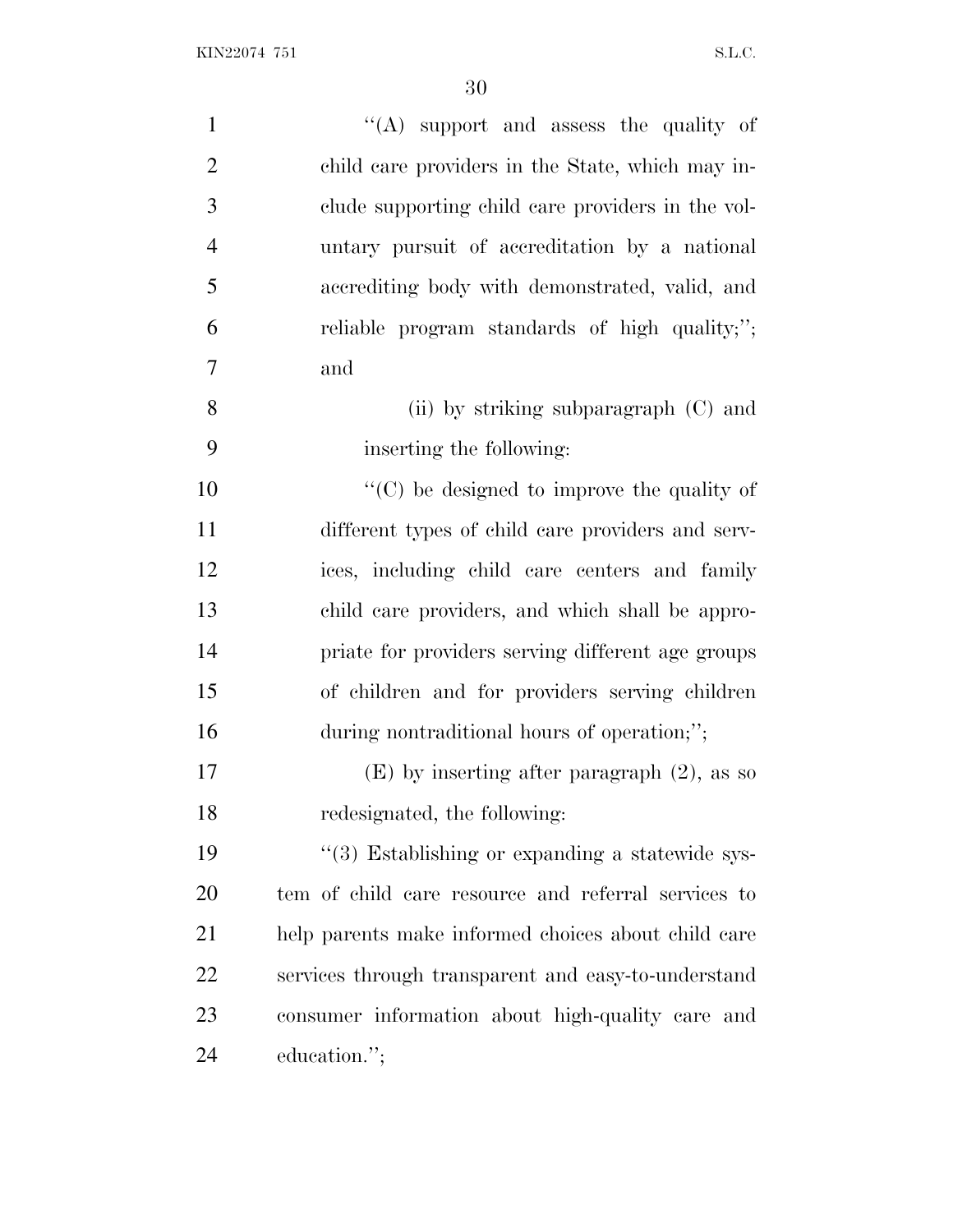| $\mathbf{1}$   | "(A) support and assess the quality of              |
|----------------|-----------------------------------------------------|
| $\overline{2}$ | child care providers in the State, which may in-    |
| 3              | clude supporting child care providers in the vol-   |
| $\overline{4}$ | untary pursuit of accreditation by a national       |
| 5              | accrediting body with demonstrated, valid, and      |
| 6              | reliable program standards of high quality;";       |
| 7              | and                                                 |
| 8              | (ii) by striking subparagraph (C) and               |
| 9              | inserting the following:                            |
| 10             | $\lq\lq$ (C) be designed to improve the quality of  |
| 11             | different types of child care providers and serv-   |
| 12             | ices, including child care centers and family       |
| 13             | child care providers, and which shall be appro-     |
| 14             | priate for providers serving different age groups   |
| 15             | of children and for providers serving children      |
| 16             | during nontraditional hours of operation;";         |
| 17             | $(E)$ by inserting after paragraph $(2)$ , as so    |
| 18             | redesignated, the following:                        |
| 19             | "(3) Establishing or expanding a statewide sys-     |
| 20             | tem of child care resource and referral services to |
| 21             | help parents make informed choices about child care |
| 22             | services through transparent and easy-to-understand |
| 23             | consumer information about high-quality care and    |
| 24             | education.";                                        |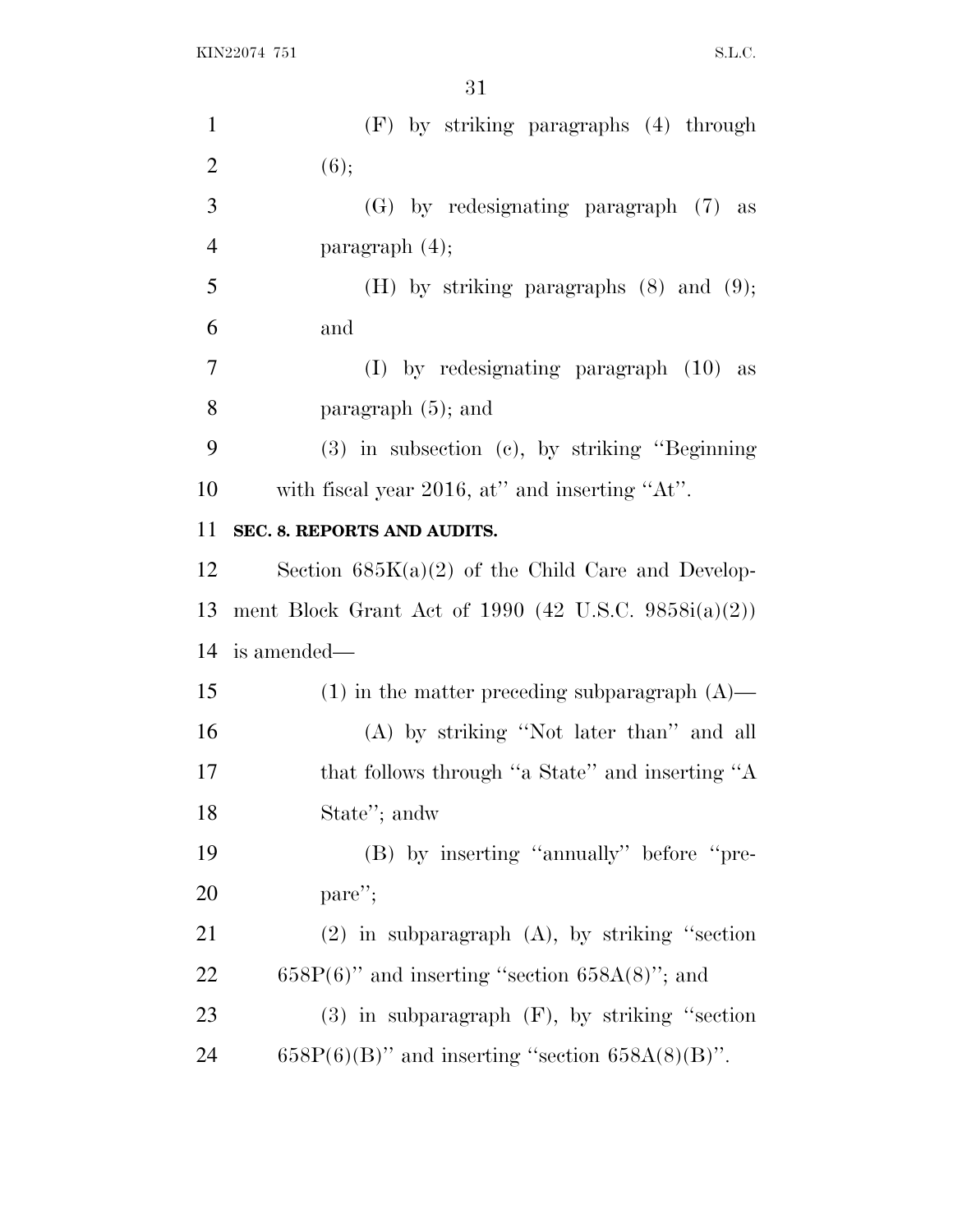| $\mathbf{1}$   | (F) by striking paragraphs (4) through                   |
|----------------|----------------------------------------------------------|
| $\overline{2}$ | (6);                                                     |
| 3              | (G) by redesignating paragraph (7) as                    |
| $\overline{4}$ | paragraph $(4)$ ;                                        |
| 5              | (H) by striking paragraphs $(8)$ and $(9)$ ;             |
| 6              | and                                                      |
| $\tau$         | $(I)$ by redesignating paragraph $(10)$ as               |
| 8              | paragraph $(5)$ ; and                                    |
| 9              | $(3)$ in subsection $(e)$ , by striking "Beginning"      |
| 10             | with fiscal year 2016, at" and inserting "At".           |
| 11             | SEC. 8. REPORTS AND AUDITS.                              |
| 12             | Section $685K(a)(2)$ of the Child Care and Develop-      |
|                |                                                          |
| 13             | ment Block Grant Act of 1990 (42 U.S.C. 9858 $i(a)(2)$ ) |
| 14             | is amended—                                              |
| 15             | $(1)$ in the matter preceding subparagraph $(A)$ —       |
| 16             | (A) by striking "Not later than" and all                 |
| 17             | that follows through "a State" and inserting "A          |
| 18             | State"; andw                                             |
| 19             | (B) by inserting "annually" before "pre-                 |
| 20             | $\text{pare}''$                                          |
| 21             | $(2)$ in subparagraph $(A)$ , by striking "section       |
| 22             | $658P(6)$ " and inserting "section $658A(8)$ "; and      |
| 23             | $(3)$ in subparagraph $(F)$ , by striking "section       |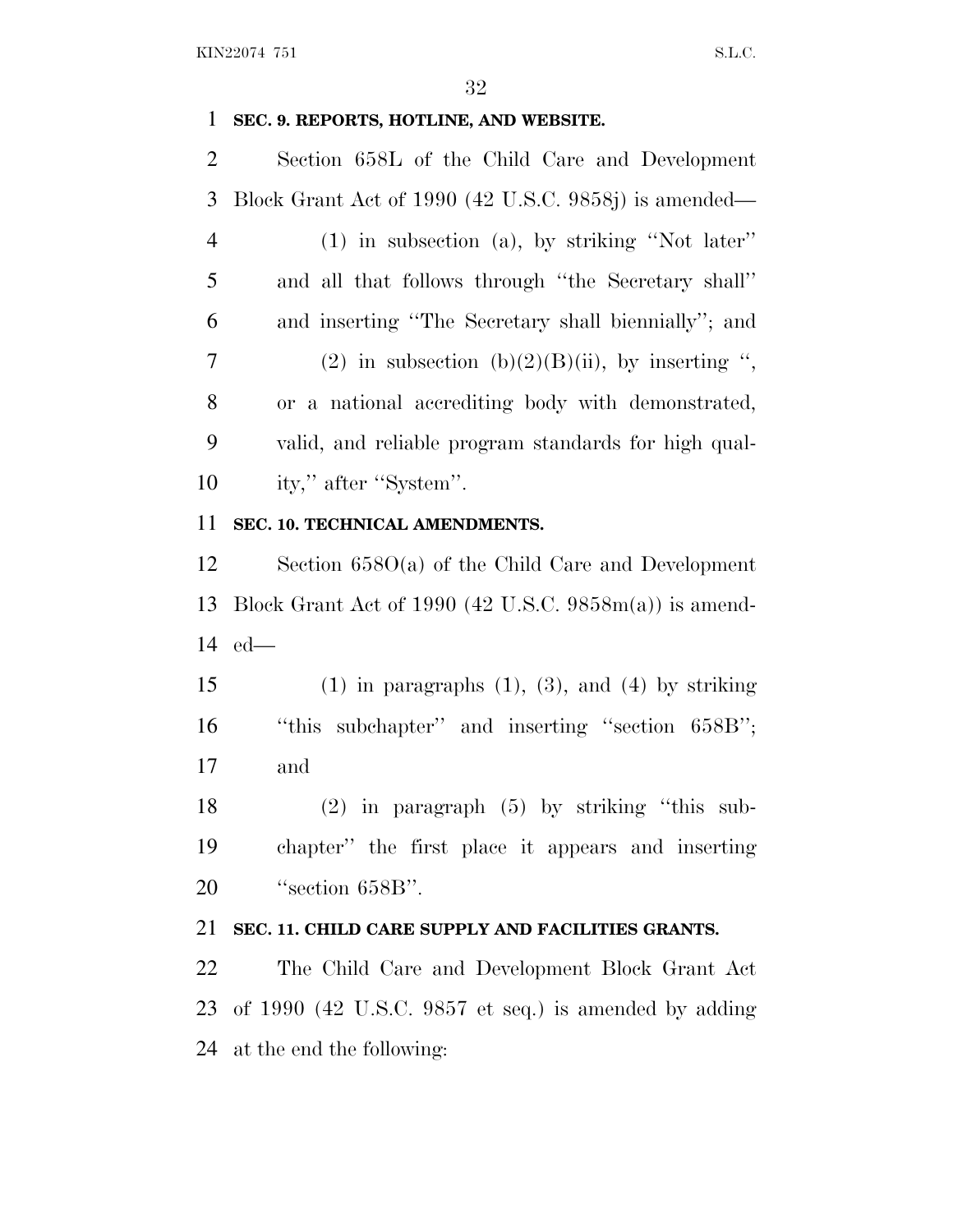## **SEC. 9. REPORTS, HOTLINE, AND WEBSITE.**

 Section 658L of the Child Care and Development Block Grant Act of 1990 (42 U.S.C. 9858j) is amended— (1) in subsection (a), by striking ''Not later'' and all that follows through ''the Secretary shall'' and inserting ''The Secretary shall biennially''; and 7 (2) in subsection  $(b)(2)(B)(ii)$ , by inserting ", or a national accrediting body with demonstrated, valid, and reliable program standards for high qual-10 ity," after "System".

## **SEC. 10. TECHNICAL AMENDMENTS.**

 Section 658O(a) of the Child Care and Development Block Grant Act of 1990 (42 U.S.C. 9858m(a)) is amend-ed—

15 (1) in paragraphs  $(1)$ ,  $(3)$ , and  $(4)$  by striking 16 "this subchapter" and inserting "section 658B"; and

 (2) in paragraph (5) by striking ''this sub- chapter'' the first place it appears and inserting 20 "section 658B".

## **SEC. 11. CHILD CARE SUPPLY AND FACILITIES GRANTS.**

 The Child Care and Development Block Grant Act of 1990 (42 U.S.C. 9857 et seq.) is amended by adding at the end the following: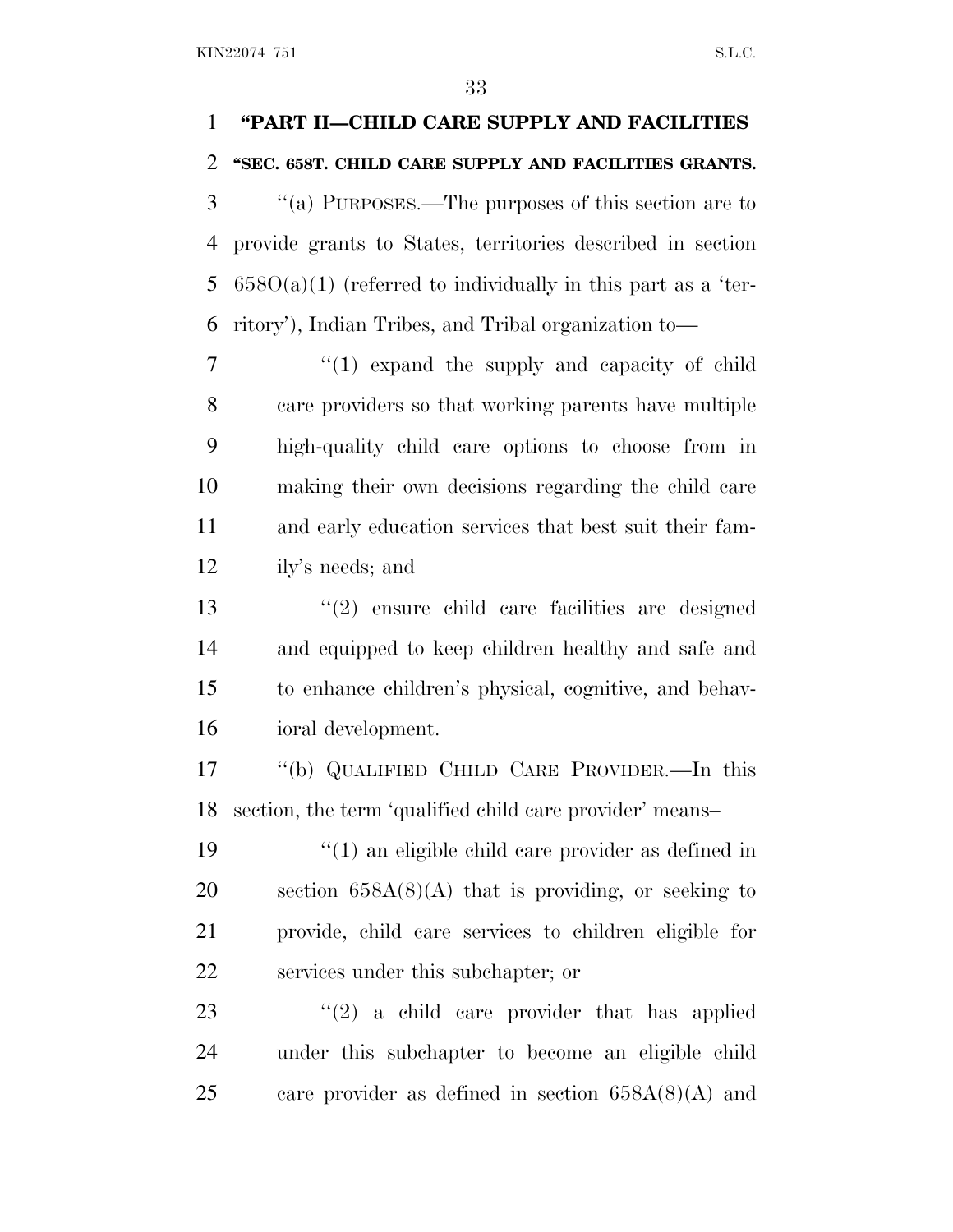## **''PART II—CHILD CARE SUPPLY AND FACILITIES ''SEC. 658T. CHILD CARE SUPPLY AND FACILITIES GRANTS.**

 ''(a) PURPOSES.—The purposes of this section are to provide grants to States, territories described in section  $658O(a)(1)$  (referred to individually in this part as a 'ter-ritory'), Indian Tribes, and Tribal organization to—

7 "(1) expand the supply and capacity of child care providers so that working parents have multiple high-quality child care options to choose from in making their own decisions regarding the child care and early education services that best suit their fam-ily's needs; and

 ''(2) ensure child care facilities are designed and equipped to keep children healthy and safe and to enhance children's physical, cognitive, and behav-ioral development.

 ''(b) QUALIFIED CHILD CARE PROVIDER.—In this section, the term 'qualified child care provider' means–

 ''(1) an eligible child care provider as defined in section 658A(8)(A) that is providing, or seeking to provide, child care services to children eligible for services under this subchapter; or

23  $(2)$  a child care provider that has applied under this subchapter to become an eligible child 25 care provider as defined in section  $658A(8)(A)$  and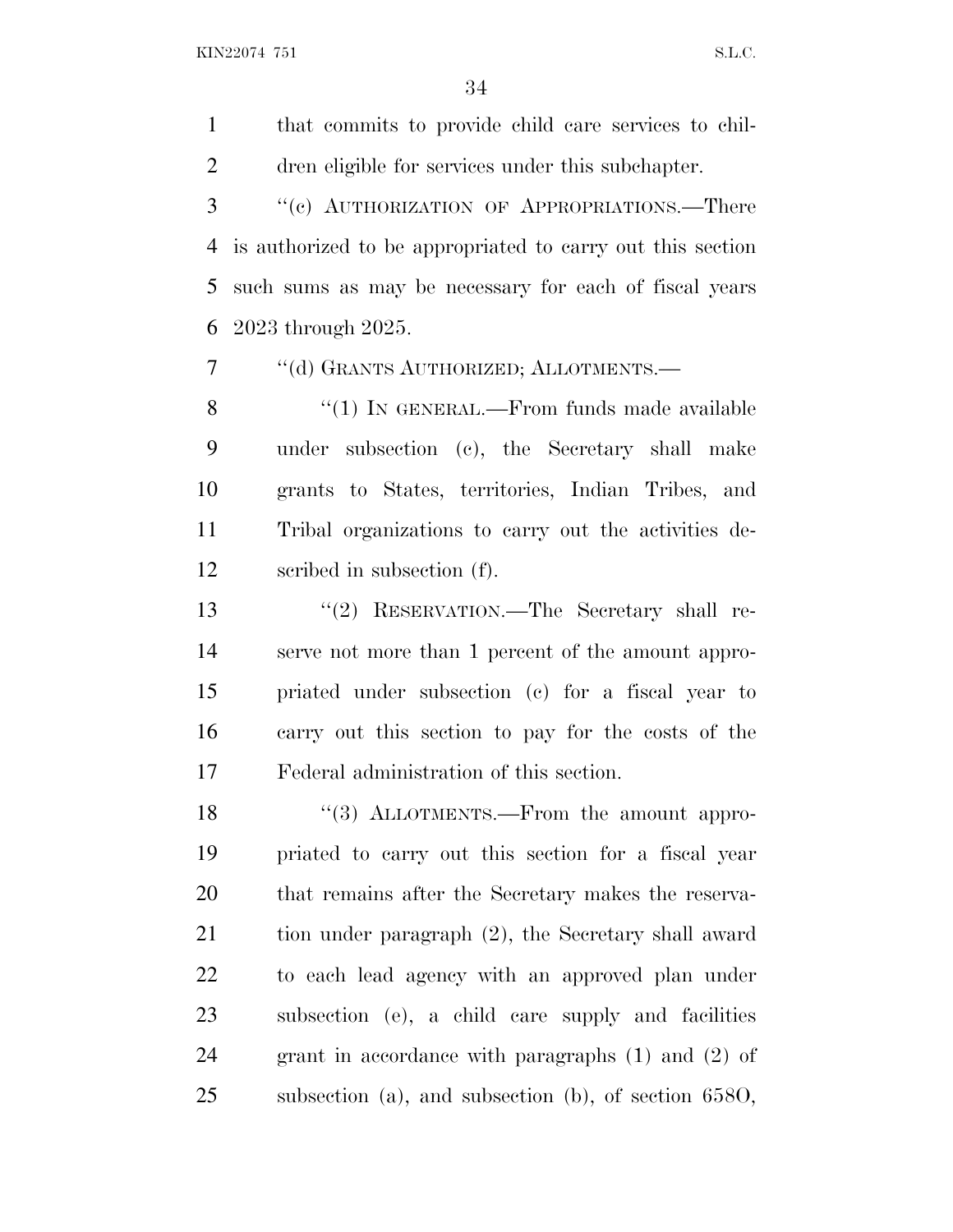that commits to provide child care services to chil-dren eligible for services under this subchapter.

 ''(c) AUTHORIZATION OF APPROPRIATIONS.—There is authorized to be appropriated to carry out this section such sums as may be necessary for each of fiscal years 2023 through 2025.

''(d) GRANTS AUTHORIZED; ALLOTMENTS.—

8 "(1) In GENERAL.—From funds made available under subsection (c), the Secretary shall make grants to States, territories, Indian Tribes, and Tribal organizations to carry out the activities de-scribed in subsection (f).

 ''(2) RESERVATION.—The Secretary shall re- serve not more than 1 percent of the amount appro- priated under subsection (c) for a fiscal year to carry out this section to pay for the costs of the Federal administration of this section.

18 "(3) ALLOTMENTS.—From the amount appro- priated to carry out this section for a fiscal year that remains after the Secretary makes the reserva- tion under paragraph (2), the Secretary shall award to each lead agency with an approved plan under subsection (e), a child care supply and facilities grant in accordance with paragraphs (1) and (2) of subsection (a), and subsection (b), of section 658O,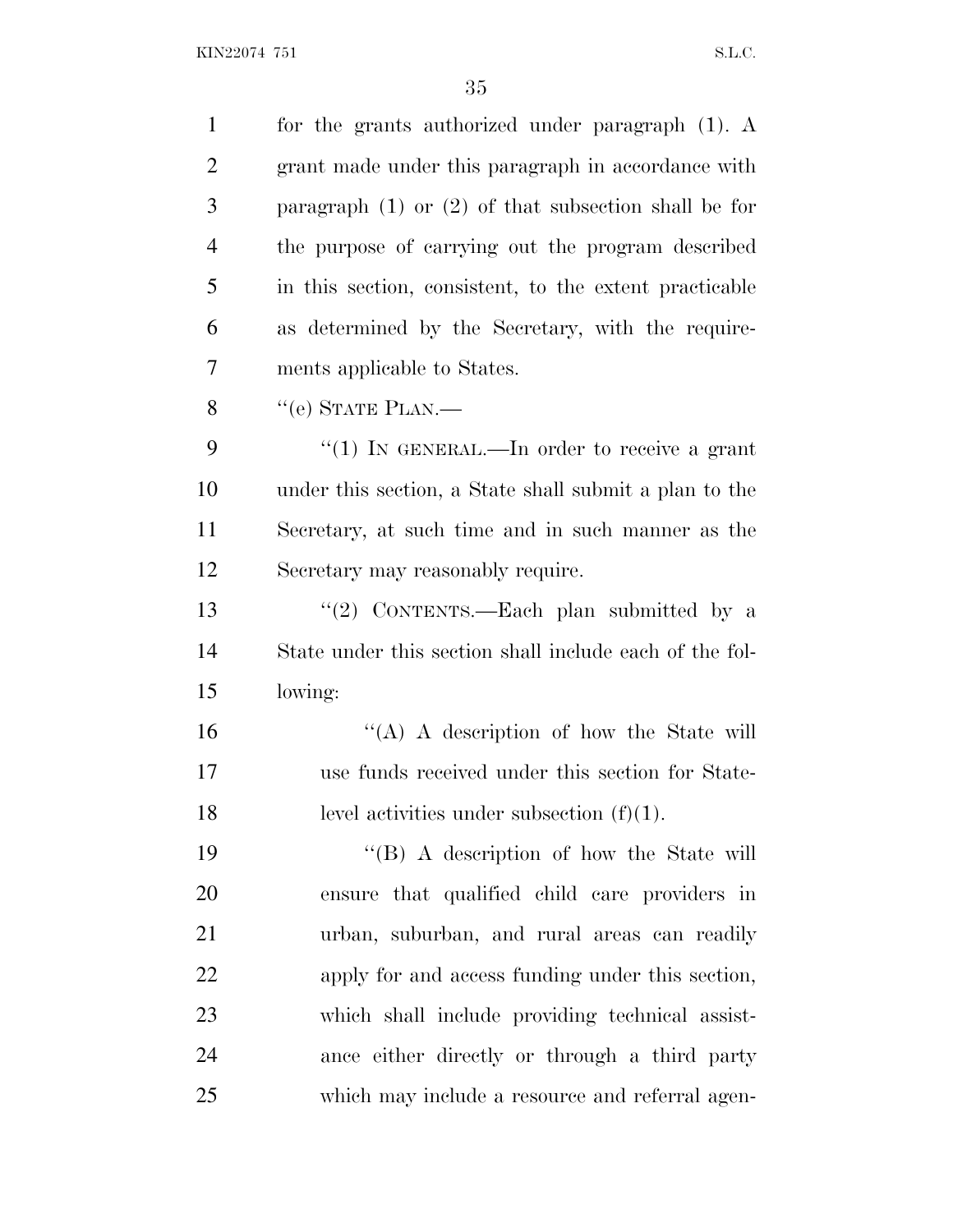| $\mathbf{1}$   | for the grants authorized under paragraph $(1)$ . A      |
|----------------|----------------------------------------------------------|
| $\overline{c}$ | grant made under this paragraph in accordance with       |
| 3              | paragraph $(1)$ or $(2)$ of that subsection shall be for |
| $\overline{4}$ | the purpose of carrying out the program described        |
| 5              | in this section, consistent, to the extent practicable   |
| 6              | as determined by the Secretary, with the require-        |
| 7              | ments applicable to States.                              |
| 8              | $"$ (e) STATE PLAN.—                                     |
| 9              | "(1) IN GENERAL.—In order to receive a grant             |
| 10             | under this section, a State shall submit a plan to the   |
| 11             | Secretary, at such time and in such manner as the        |
| 12             | Secretary may reasonably require.                        |
| 13             | "(2) CONTENTS.—Each plan submitted by a                  |
| 14             | State under this section shall include each of the fol-  |
| 15             | lowing:                                                  |
| 16             | "(A) A description of how the State will                 |
| 17             | use funds received under this section for State-         |
| 18             | level activities under subsection $(f)(1)$ .             |
| 19             | $``$ (B) A description of how the State will             |
| 20             | ensure that qualified child care providers in            |
| 21             | urban, suburban, and rural areas can readily             |
| 22             | apply for and access funding under this section,         |
| 23             | which shall include providing technical assist-          |
| 24             | ance either directly or through a third party            |
| 25             | which may include a resource and referral agen-          |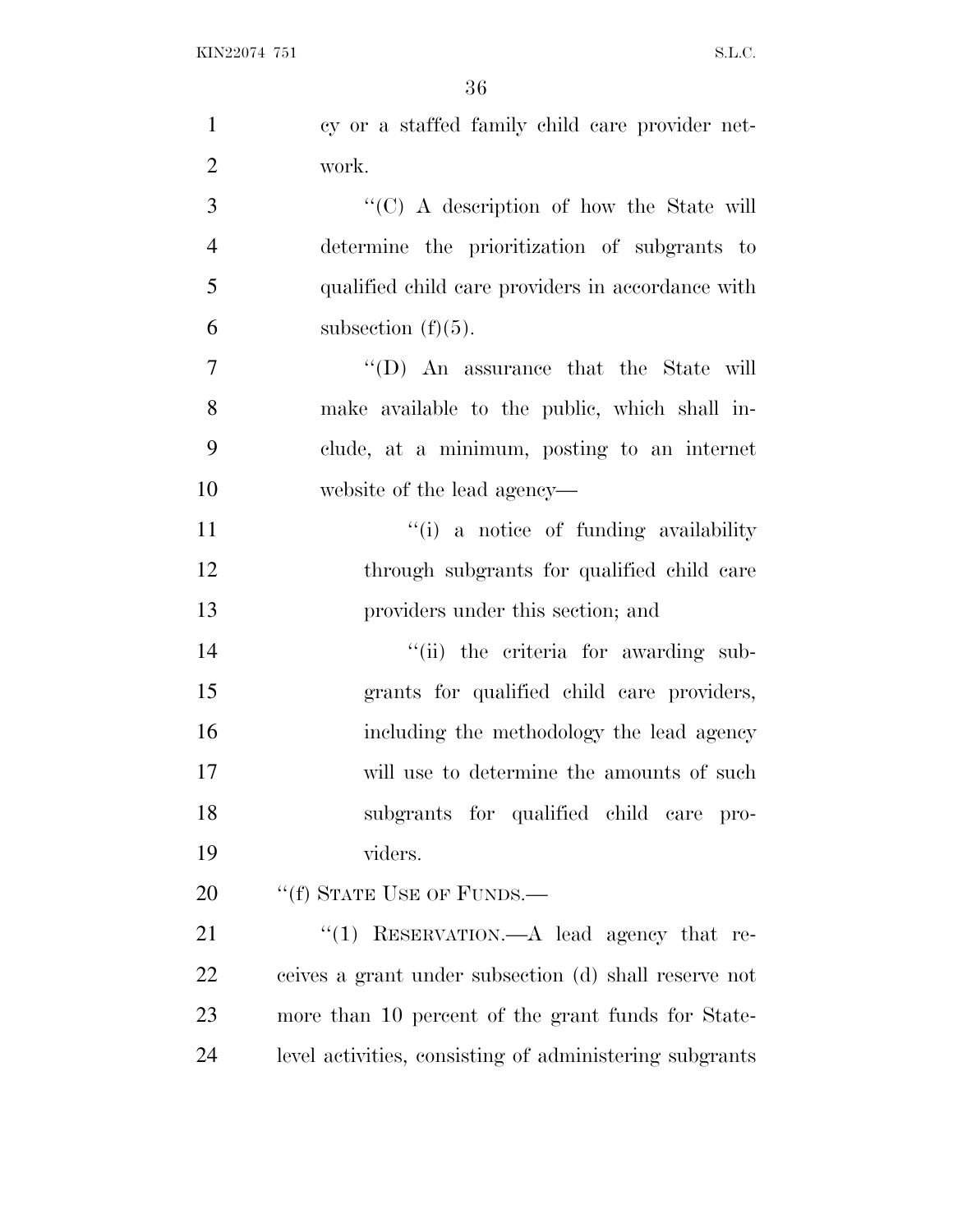| $\mathbf{1}$   | cy or a staffed family child care provider net-         |
|----------------|---------------------------------------------------------|
| $\overline{2}$ | work.                                                   |
| 3              | $\lq\lq$ (C) A description of how the State will        |
| $\overline{4}$ | determine the prioritization of subgrants to            |
| 5              | qualified child care providers in accordance with       |
| 6              | subsection $(f)(5)$ .                                   |
| $\tau$         | $\lq\lq$ . An assurance that the State will             |
| 8              | make available to the public, which shall in-           |
| 9              | clude, at a minimum, posting to an internet             |
| 10             | website of the lead agency—                             |
| 11             | "(i) a notice of funding availability                   |
| 12             | through subgrants for qualified child care              |
| 13             | providers under this section; and                       |
| 14             | "(ii) the criteria for awarding sub-                    |
| 15             | grants for qualified child care providers,              |
| 16             | including the methodology the lead agency               |
| 17             | will use to determine the amounts of such               |
| 18             | subgrants for qualified child care pro-                 |
| 19             | viders.                                                 |
| 20             | "(f) STATE USE OF FUNDS.—                               |
| 21             | "(1) RESERVATION.—A lead agency that re-                |
| 22             | ceives a grant under subsection (d) shall reserve not   |
| 23             | more than 10 percent of the grant funds for State-      |
| 24             | level activities, consisting of administering subgrants |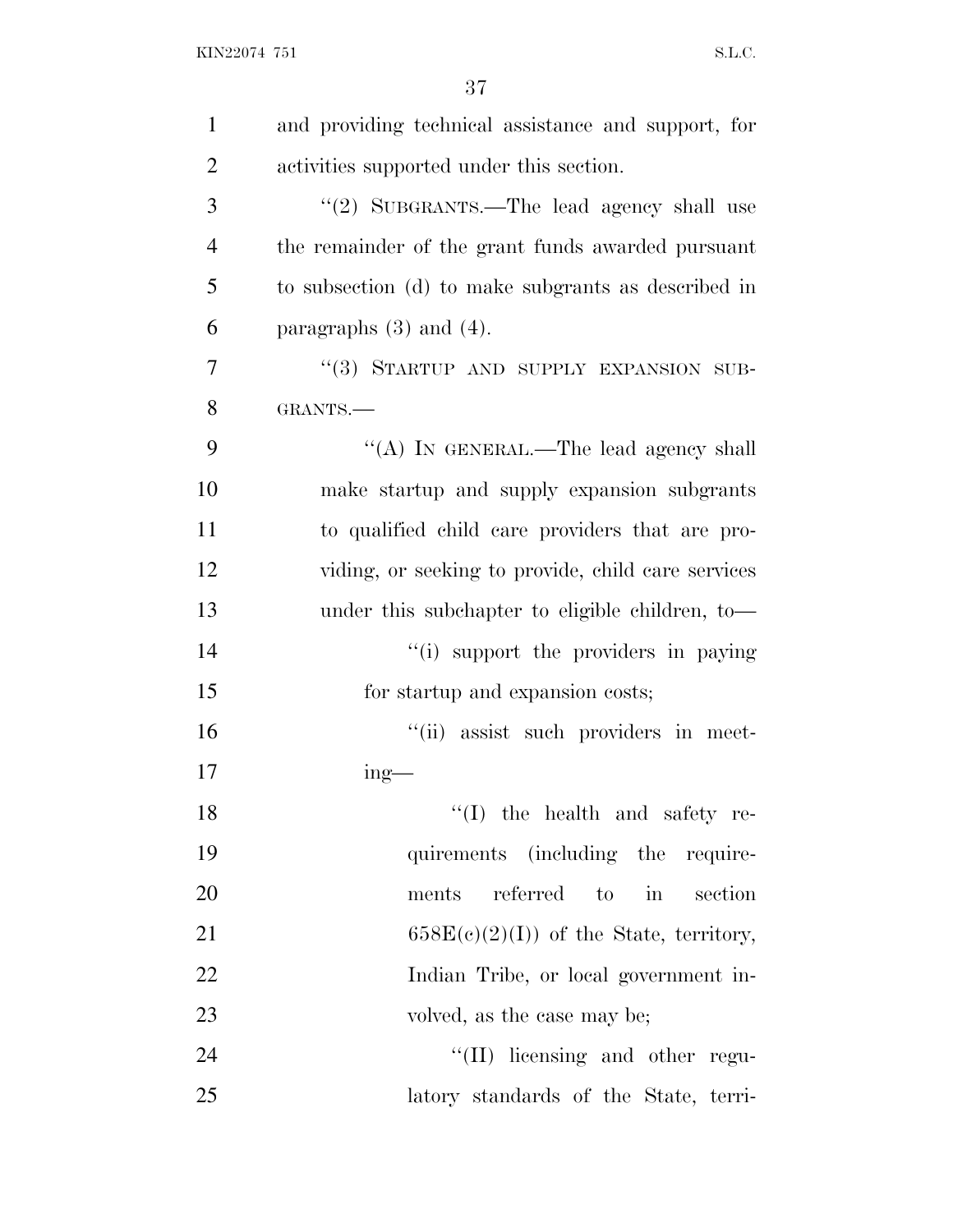| $\mathbf{1}$   | and providing technical assistance and support, for |
|----------------|-----------------------------------------------------|
| $\overline{2}$ | activities supported under this section.            |
| 3              | "(2) SUBGRANTS.—The lead agency shall use           |
| $\overline{4}$ | the remainder of the grant funds awarded pursuant   |
| 5              | to subsection (d) to make subgrants as described in |
| 6              | paragraphs $(3)$ and $(4)$ .                        |
| 7              | "(3) STARTUP AND SUPPLY EXPANSION SUB-              |
| 8              | GRANTS.-                                            |
| 9              | "(A) IN GENERAL.—The lead agency shall              |
| 10             | make startup and supply expansion subgrants         |
| 11             | to qualified child care providers that are pro-     |
| 12             | viding, or seeking to provide, child care services  |
| 13             | under this subchapter to eligible children, to-     |
| 14             | "(i) support the providers in paying                |
| 15             | for startup and expansion costs;                    |
| 16             | "(ii) assist such providers in meet-                |
| 17             | ing-                                                |
| 18             | $f'(I)$ the health and safety re-                   |
| 19             | quirements (including the require-                  |
| 20             | referred to<br>$\sin$<br>section<br>ments           |
| 21             | $658E(c)(2)(I))$ of the State, territory,           |
| 22             | Indian Tribe, or local government in-               |
| 23             | volved, as the case may be;                         |
| 24             | "(II) licensing and other regu-                     |
| 25             | latory standards of the State, terri-               |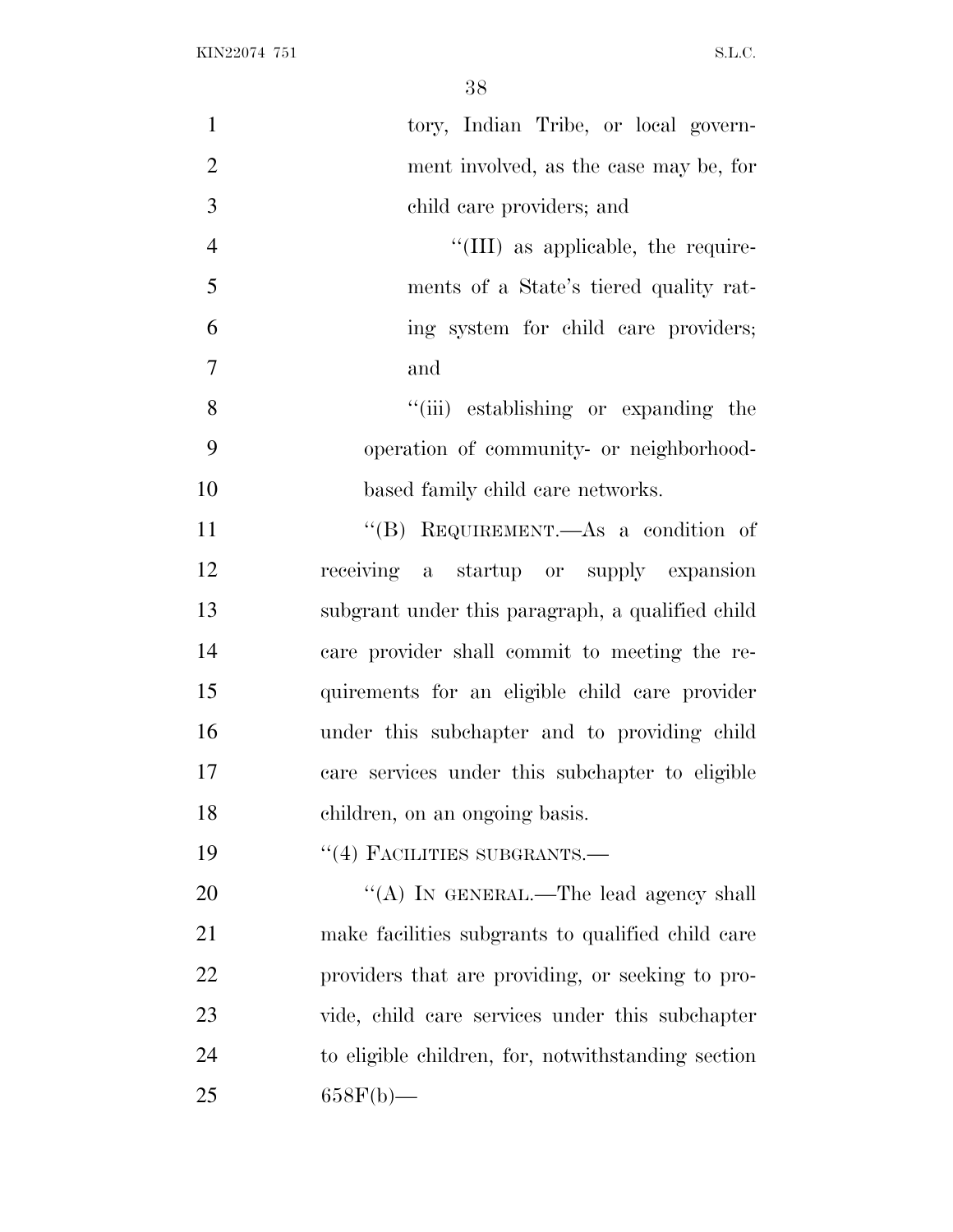| $\mathbf{1}$     | tory, Indian Tribe, or local govern-               |
|------------------|----------------------------------------------------|
| $\mathbf{2}$     | ment involved, as the case may be, for             |
| $\mathfrak{Z}$   | child care providers; and                          |
| $\overline{4}$   | "(III) as applicable, the require-                 |
| 5                | ments of a State's tiered quality rat-             |
| 6                | ing system for child care providers;               |
| $\boldsymbol{7}$ | and                                                |
| 8                | "(iii) establishing or expanding the               |
| 9                | operation of community- or neighborhood-           |
| 10               | based family child care networks.                  |
| 11               | "(B) REQUIREMENT.—As a condition of                |
| 12               | receiving a startup or supply expansion            |
| 13               | subgrant under this paragraph, a qualified child   |
| 14               | care provider shall commit to meeting the re-      |
| 15               | quirements for an eligible child care provider     |
| 16               | under this subchapter and to providing child       |
| 17               | care services under this subchapter to eligible    |
| 18               | children, on an ongoing basis.                     |
| 19               | "(4) FACILITIES SUBGRANTS.-                        |
| 20               | "(A) IN GENERAL.—The lead agency shall             |
| 21               | make facilities subgrants to qualified child care  |
| 22               | providers that are providing, or seeking to pro-   |
| 23               | vide, child care services under this subchapter    |
| 24               | to eligible children, for, notwithstanding section |
| 25               | $658F(b)$ —                                        |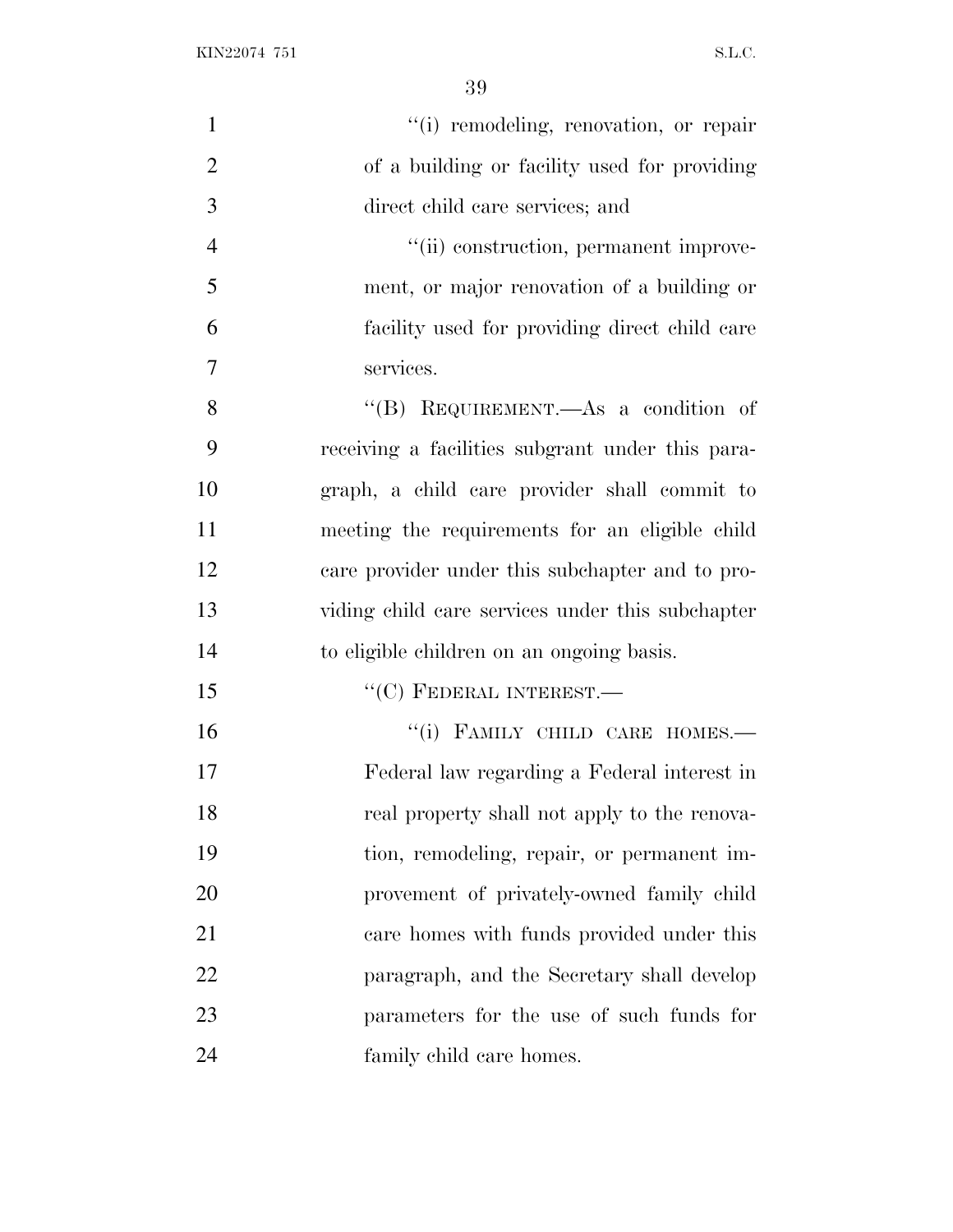| $\mathbf{1}$   | "(i) remodeling, renovation, or repair           |
|----------------|--------------------------------------------------|
| $\overline{2}$ | of a building or facility used for providing     |
| 3              | direct child care services; and                  |
| $\overline{4}$ | "(ii) construction, permanent improve-           |
| 5              | ment, or major renovation of a building or       |
| 6              | facility used for providing direct child care    |
| $\tau$         | services.                                        |
| 8              | "(B) REQUIREMENT.—As a condition of              |
| 9              | receiving a facilities subgrant under this para- |
| 10             | graph, a child care provider shall commit to     |
| 11             | meeting the requirements for an eligible child   |
| 12             | care provider under this subchapter and to pro-  |
| 13             | viding child care services under this subchapter |
| 14             | to eligible children on an ongoing basis.        |
| 15             | $``$ (C) FEDERAL INTEREST.—                      |
| 16             | "(i) FAMILY CHILD CARE HOMES.-                   |
| 17             | Federal law regarding a Federal interest in      |
| 18             | real property shall not apply to the renova-     |
| 19             | tion, remodeling, repair, or permanent im-       |
| 20             | provement of privately-owned family child        |
| 21             | care homes with funds provided under this        |
| 22             | paragraph, and the Secretary shall develop       |
| 23             | parameters for the use of such funds for         |
| 24             | family child care homes.                         |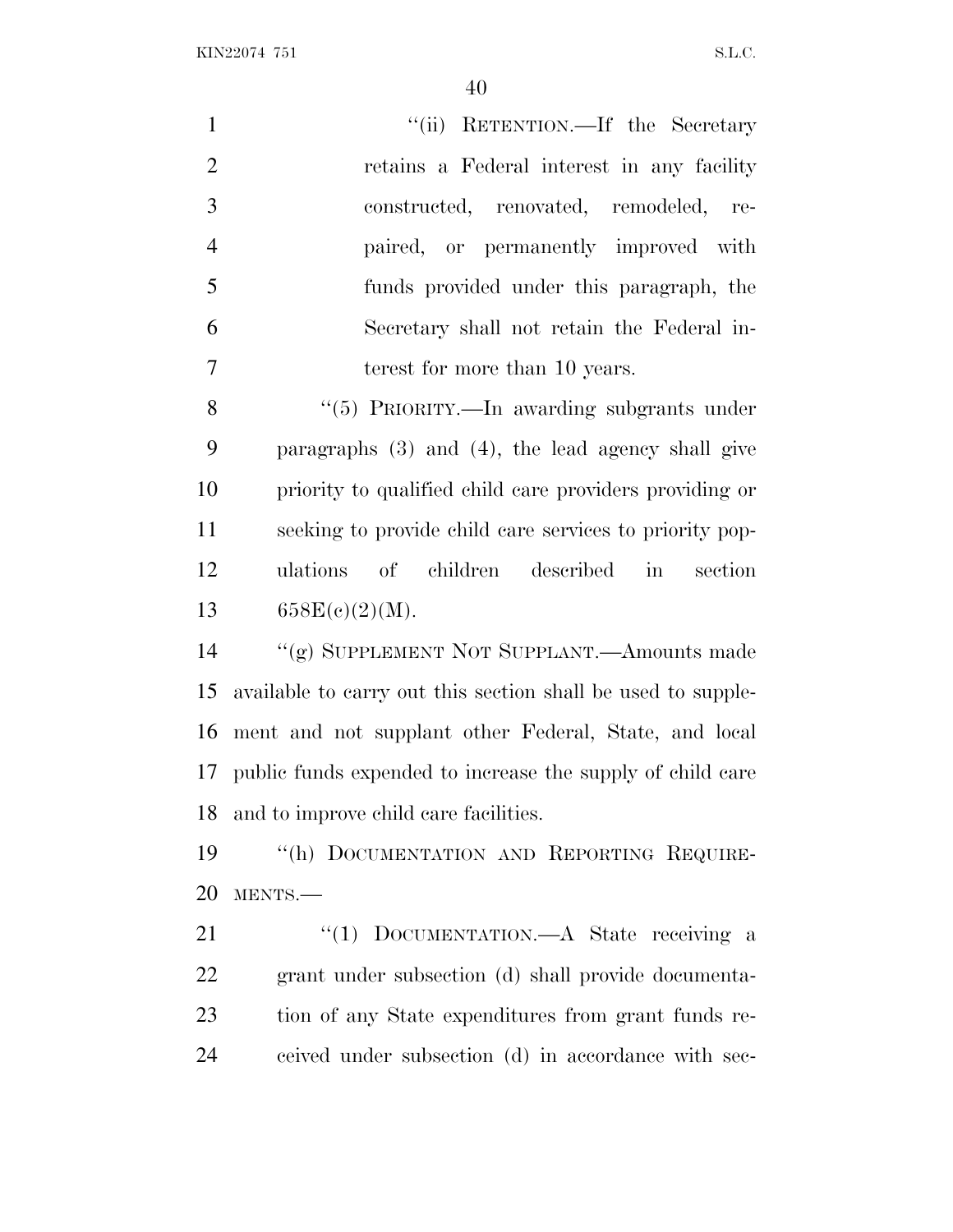| $\mathbf{1}$   | "(ii) RETENTION.—If the Secretary                                   |
|----------------|---------------------------------------------------------------------|
| $\overline{2}$ | retains a Federal interest in any facility                          |
| 3              | constructed, renovated, remodeled,<br>re-                           |
| $\overline{4}$ | paired, or permanently improved with                                |
| 5              | funds provided under this paragraph, the                            |
| 6              | Secretary shall not retain the Federal in-                          |
| $\tau$         | terest for more than 10 years.                                      |
| 8              | "(5) PRIORITY.—In awarding subgrants under                          |
| 9              | paragraphs $(3)$ and $(4)$ , the lead agency shall give             |
| 10             | priority to qualified child care providers providing or             |
| 11             | seeking to provide child care services to priority pop-             |
| 12             | ulations of children<br>described<br>$\operatorname{in}$<br>section |
| 13             | 658E(c)(2)(M).                                                      |
| 14             | "(g) SUPPLEMENT NOT SUPPLANT.—Amounts made                          |
| 15             | available to carry out this section shall be used to supple-        |
| 16             | ment and not supplant other Federal, State, and local               |
|                | 17 public funds expended to increase the supply of child care       |
| 18             | and to improve child care facilities.                               |
| 19             | "(h) DOCUMENTATION AND REPORTING REQUIRE-                           |
| 20             | MENTS.                                                              |
| 21             | DOCUMENTATION.—A State receiving a<br>``(1)                         |
| 22             | grant under subsection (d) shall provide documenta-                 |
| 23             | tion of any State expenditures from grant funds re-                 |

ceived under subsection (d) in accordance with sec-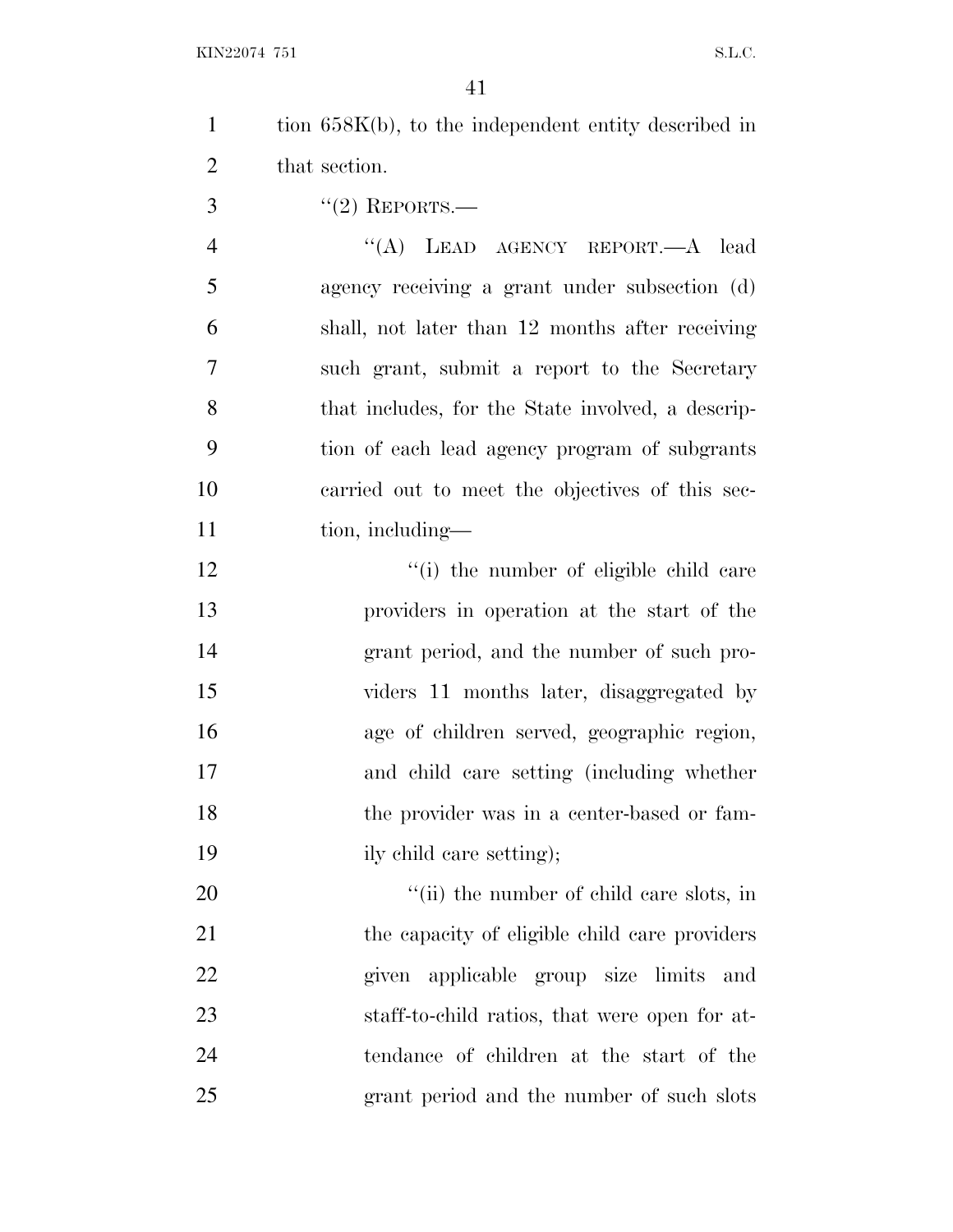| tion $658K(b)$ , to the independent entity described in |
|---------------------------------------------------------|
| that section.                                           |

''(2) REPORTS.—

4 "(A) LEAD AGENCY REPORT.—A lead agency receiving a grant under subsection (d) shall, not later than 12 months after receiving such grant, submit a report to the Secretary that includes, for the State involved, a descrip- tion of each lead agency program of subgrants carried out to meet the objectives of this sec-11 tion, including—

12 ''(i) the number of eligible child care providers in operation at the start of the grant period, and the number of such pro- viders 11 months later, disaggregated by age of children served, geographic region, and child care setting (including whether the provider was in a center-based or fam-19 ily child care setting);

 $\frac{1}{1}$  the number of child care slots, in 21 the capacity of eligible child care providers given applicable group size limits and staff-to-child ratios, that were open for at- tendance of children at the start of the grant period and the number of such slots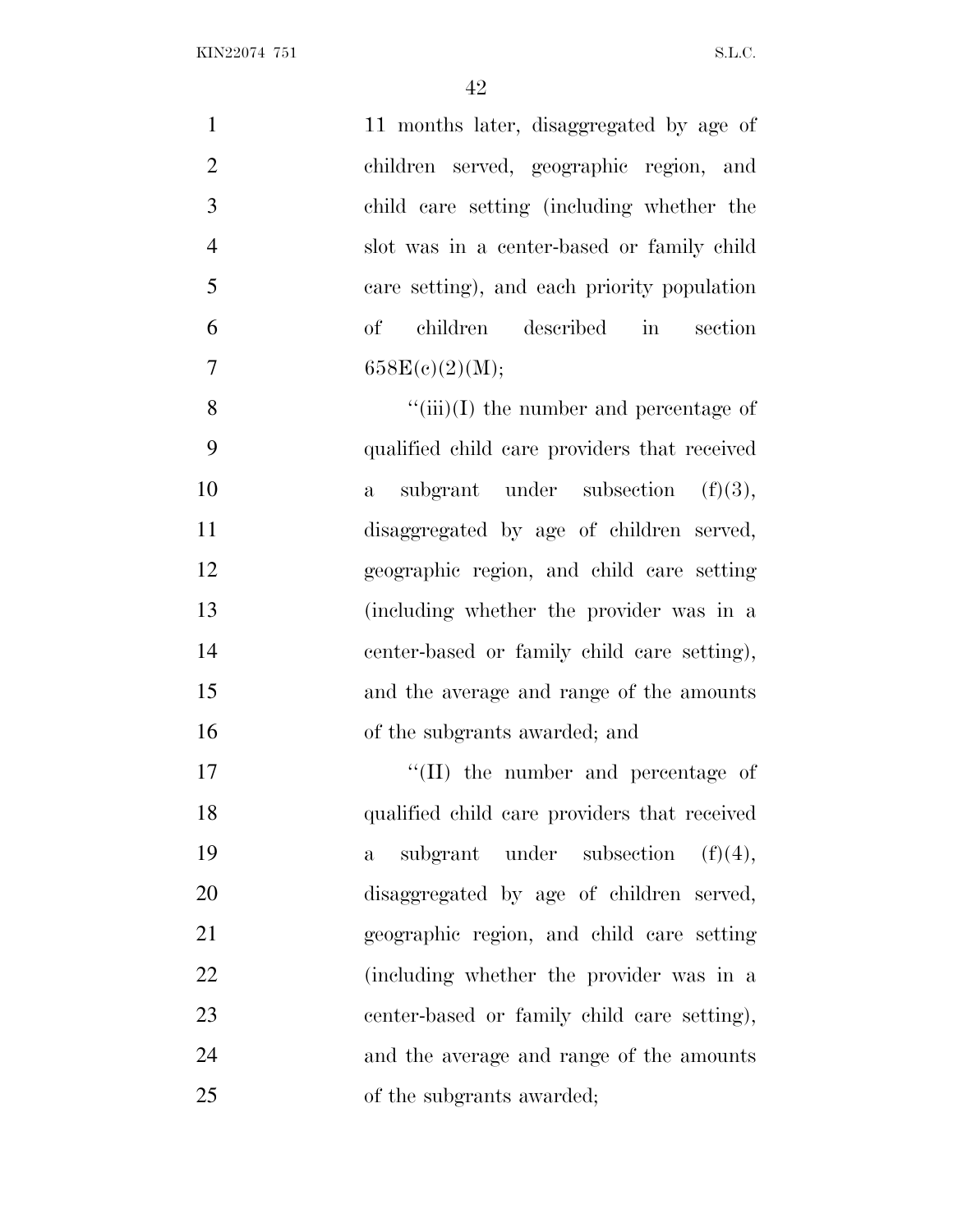| $\mathbf{1}$   | 11 months later, disaggregated by age of             |
|----------------|------------------------------------------------------|
| $\mathbf{2}$   | children served, geographic region, and              |
| 3              | child care setting (including whether the            |
| $\overline{4}$ | slot was in a center-based or family child           |
| 5              | care setting), and each priority population          |
| 6              | children described<br>in<br>section<br>$\mathrm{of}$ |
| 7              | 658E(c)(2)(M);                                       |
| 8              | $\lq\lq$ (iii)(I) the number and percentage of       |
| 9              | qualified child care providers that received         |
| 10             | subgrant under subsection $(f)(3)$ ,<br>$\mathbf{a}$ |
| 11             | disaggregated by age of children served,             |
| 12             | geographic region, and child care setting            |
| 13             | (including whether the provider was in a             |
| 14             | center-based or family child care setting),          |
| 15             | and the average and range of the amounts             |
| 16             | of the subgrants awarded; and                        |
| 17             | $\lq\lq$ (II) the number and percentage of           |
| 18             | qualified child care providers that received         |
| 19             | subgrant under subsection<br>(f)(4),<br>$\mathbf{a}$ |
| 20             | disaggregated by age of children served,             |
| 21             | geographic region, and child care setting            |
| 22             | (including whether the provider was in a             |
| 23             | center-based or family child care setting),          |
| 24             | and the average and range of the amounts             |
| 25             | of the subgrants awarded;                            |